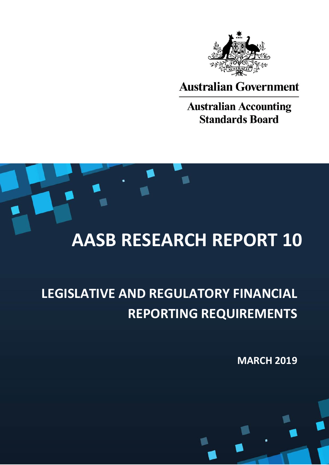

**Australian Government** 

**Australian Accounting Standards Board** 

# **AASB RESEARCH REPORT 10**

# **LEGISLATIVE AND REGULATORY FINANCIAL REPORTING REQUIREMENTS**

**MARCH 2019**

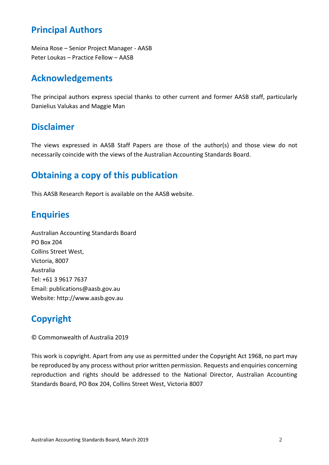#### **Principal Authors**

Meina Rose – Senior Project Manager - AASB Peter Loukas – Practice Fellow – AASB

#### **Acknowledgements**

The principal authors express special thanks to other current and former AASB staff, particularly Danielius Valukas and Maggie Man

#### **Disclaimer**

The views expressed in AASB Staff Papers are those of the author(s) and those view do not necessarily coincide with the views of the Australian Accounting Standards Board.

#### **Obtaining a copy of this publication**

This AASB Research Report is available on the AASB website.

#### **Enquiries**

Australian Accounting Standards Board PO Box 204 Collins Street West, Victoria, 8007 Australia Tel: +61 3 9617 7637 Email: publications@aasb.gov.au Website: http://www.aasb.gov.au

# **Copyright**

© Commonwealth of Australia 2019

This work is copyright. Apart from any use as permitted under the Copyright Act 1968, no part may be reproduced by any process without prior written permission. Requests and enquiries concerning reproduction and rights should be addressed to the National Director, Australian Accounting Standards Board, PO Box 204, Collins Street West, Victoria 8007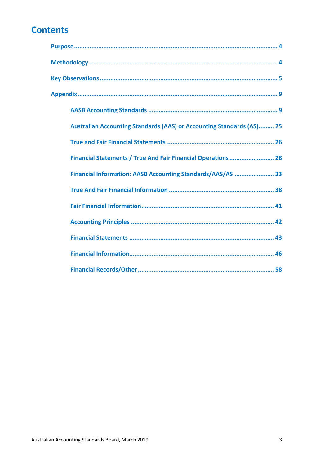#### **Contents**

| <b>Australian Accounting Standards (AAS) or Accounting Standards (AS) 25</b> |
|------------------------------------------------------------------------------|
|                                                                              |
| Financial Statements / True And Fair Financial Operations  28                |
| Financial Information: AASB Accounting Standards/AAS/AS  33                  |
|                                                                              |
|                                                                              |
|                                                                              |
|                                                                              |
|                                                                              |
|                                                                              |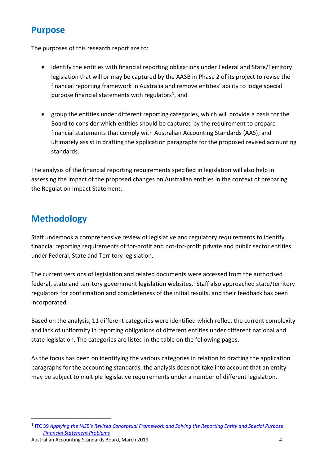#### <span id="page-3-0"></span>**Purpose**

The purposes of this research report are to:

- identify the entities with financial reporting obligations under Federal and State/Territory legislation that will or may be captured by the AASB in Phase 2 of its project to revise the financial reporting framework in Australia and remove entities' ability to lodge special purpose financial statements with regulators<sup>1</sup>, and
- group the entities under different reporting categories, which will provide a basis for the Board to consider which entities should be captured by the requirement to prepare financial statements that comply with Australian Accounting Standards (AAS), and ultimately assist in drafting the application paragraphs for the proposed revised accounting standards.

The analysis of the financial reporting requirements specified in legislation will also help in assessing the impact of the proposed changes on Australian entities in the context of preparing the Regulation Impact Statement.

#### <span id="page-3-1"></span>**Methodology**

Staff undertook a comprehensive review of legislative and regulatory requirements to identify financial reporting requirements of for-profit and not-for-profit private and public sector entities under Federal, State and Territory legislation.

The current versions of legislation and related documents were accessed from the authorised federal, state and territory government legislation websites. Staff also approached state/territory regulators for confirmation and completeness of the initial results, and their feedback has been incorporated.

Based on the analysis, 11 different categories were identified which reflect the current complexity and lack of uniformity in reporting obligations of different entities under different national and state legislation. The categories are listed in the table on the following pages.

As the focus has been on identifying the various categories in relation to drafting the application paragraphs for the accounting standards, the analysis does not take into account that an entity may be subject to multiple legislative requirements under a number of different legislation.

1

<sup>1</sup> ITC 39 *Applying the [IASB's Revised Conceptual Framework and Solving the Reporting Entity and Special Purpose](https://www.aasb.gov.au/admin/file/content105/c9/ITC39_05_18.pdf)  [Financial Statement Problems](https://www.aasb.gov.au/admin/file/content105/c9/ITC39_05_18.pdf)*

Australian Accounting Standards Board, March 2019 4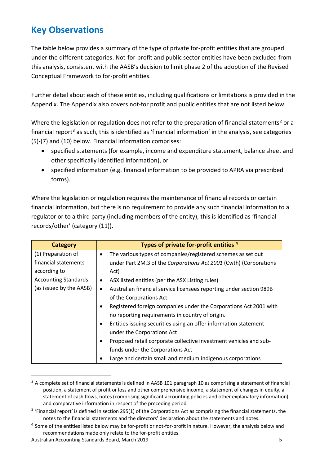## <span id="page-4-0"></span>**Key Observations**

The table below provides a summary of the type of private for-profit entities that are grouped under the different categories. Not-for-profit and public sector entities have been excluded from this analysis, consistent with the AASB's decision to limit phase 2 of the adoption of the Revised Conceptual Framework to for-profit entities.

Further detail about each of these entities, including qualifications or limitations is provided in the Appendix. The Appendix also covers not-for profit and public entities that are not listed below.

Where the legislation or regulation does not refer to the preparation of financial statements<sup>2</sup> or a financial report<sup>3</sup> as such, this is identified as 'financial information' in the analysis, see categories (5)-(7) and (10) below. Financial information comprises:

- specified statements (for example, income and expenditure statement, balance sheet and other specifically identified information), or
- specified information (e.g. financial information to be provided to APRA via prescribed forms).

Where the legislation or regulation requires the maintenance of financial records or certain financial information, but there is no requirement to provide any such financial information to a regulator or to a third party (including members of the entity), this is identified as 'financial records/other' (category (11)).

| <b>Category</b>             | Types of private for-profit entities <sup>4</sup>                                |
|-----------------------------|----------------------------------------------------------------------------------|
| (1) Preparation of          | The various types of companies/registered schemes as set out<br>$\bullet$        |
| financial statements        | under Part 2M.3 of the Corporations Act 2001 (Cwth) (Corporations                |
| according to                | Act)                                                                             |
| <b>Accounting Standards</b> | ASX listed entities (per the ASX Listing rules)<br>$\bullet$                     |
| (as issued by the AASB)     | Australian financial service licensees reporting under section 989B<br>$\bullet$ |
|                             | of the Corporations Act                                                          |
|                             | Registered foreign companies under the Corporations Act 2001 with                |
|                             | no reporting requirements in country of origin.                                  |
|                             | Entities issuing securities using an offer information statement                 |
|                             | under the Corporations Act                                                       |
|                             | Proposed retail corporate collective investment vehicles and sub-                |
|                             | funds under the Corporations Act                                                 |
|                             | Large and certain small and medium indigenous corporations                       |

 $2$  A complete set of financial statements is defined in AASB 101 paragraph 10 as comprising a statement of financial position, a statement of profit or loss and other comprehensive income, a statement of changes in equity, a statement of cash flows, notes (comprising significant accounting policies and other explanatory information) and comparative information in respect of the preceding period.

<u>.</u>

<sup>&</sup>lt;sup>3</sup> 'Financial report' is defined in section 295(1) of the Corporations Act as comprising the financial statements, the notes to the financial statements and the directors' declaration about the statements and notes.

<sup>&</sup>lt;sup>4</sup> Some of the entities listed below may be for-profit or not-for-profit in nature. However, the analysis below and recommendations made only relate to the for-profit entities.

Australian Accounting Standards Board, March 2019 5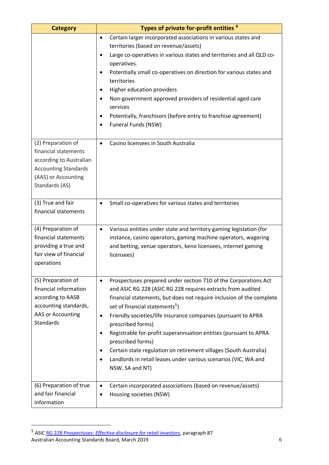| <b>Category</b>                                                                                                                               | Types of private for-profit entities <sup>4</sup>                                                                                                                                                                                                                                                                                                                                                                                                                                                                                                                                                                          |
|-----------------------------------------------------------------------------------------------------------------------------------------------|----------------------------------------------------------------------------------------------------------------------------------------------------------------------------------------------------------------------------------------------------------------------------------------------------------------------------------------------------------------------------------------------------------------------------------------------------------------------------------------------------------------------------------------------------------------------------------------------------------------------------|
|                                                                                                                                               | Certain larger incorporated associations in various states and<br>$\bullet$<br>territories (based on revenue/assets)<br>Large co-operatives in various states and territories and all QLD co-<br>operatives.<br>Potentially small co-operatives on direction for various states and<br>territories<br>Higher education providers<br>Non-government approved providers of residential aged care<br>services<br>Potentially, franchisors (before entry to franchise agreement)<br>Funeral Funds (NSW)                                                                                                                        |
| (2) Preparation of<br>financial statements<br>according to Australian<br><b>Accounting Standards</b><br>(AAS) or Accounting<br>Standards (AS) | Casino licensees in South Australia<br>$\bullet$                                                                                                                                                                                                                                                                                                                                                                                                                                                                                                                                                                           |
| (3) True and fair<br>financial statements                                                                                                     | Small co-operatives for various states and territories<br>$\bullet$                                                                                                                                                                                                                                                                                                                                                                                                                                                                                                                                                        |
| (4) Preparation of<br>financial statements<br>providing a true and<br>fair view of financial<br>operations                                    | Various entities under state and territory gaming legislation (for<br>$\bullet$<br>instance, casino operators, gaming machine operators, wagering<br>and betting, venue operators, keno licensees, internet gaming<br>licensees)                                                                                                                                                                                                                                                                                                                                                                                           |
| (5) Preparation of<br>financial information<br>according to AASB<br>accounting standards,<br>AAS or Accounting<br><b>Standards</b>            | Prospectuses prepared under section 710 of the Corporations Act<br>$\bullet$<br>and ASIC RG 228 (ASIC RG 228 requires extracts from audited<br>financial statements, but does not require inclusion of the complete<br>set of financial statements <sup>5</sup> )<br>Friendly societies/life insurance companies (pursuant to APRA<br>٠<br>prescribed forms)<br>Registrable for-profit superannuation entities (pursuant to APRA<br>٠<br>prescribed forms)<br>Certain state regulation on retirement villages (South Australia)<br>Landlords in retail leases under various scenarios (VIC, WA and<br>٠<br>NSW, SA and NT) |
| (6) Preparation of true<br>and fair financial<br>information                                                                                  | Certain incorporated associations (based on revenue/assets)<br>$\bullet$<br>Housing societies (NSW)                                                                                                                                                                                                                                                                                                                                                                                                                                                                                                                        |

Australian Accounting Standards Board, March 2019 **612 12:30 12:30 12:30 12:30 12:30 12:30 13:30 13:30 13:30 13:30 13:30 13:30 13:30 13:30 13:30 13:30 13:30 13:30 13:30 13:30 13:30 13:30 13:30 13:30 13:30 13:30 13:30 13:30** <sup>5</sup> ASIC RG 228 *[Prospectuses: Effective disclosure for retail investors](https://download.asic.gov.au/media/4062323/rg228-published-3-november-2016.pdf)*, paragraph 87

<u>.</u>

<u> 1989 - Johann Barbara, martin a</u>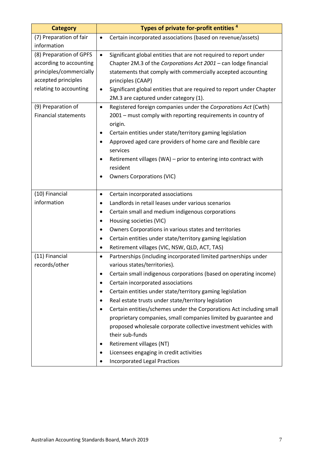| <b>Category</b>             | Types of private for-profit entities <sup>4</sup>                              |
|-----------------------------|--------------------------------------------------------------------------------|
| (7) Preparation of fair     | Certain incorporated associations (based on revenue/assets)<br>$\bullet$       |
| information                 |                                                                                |
| (8) Preparation of GPFS     | Significant global entities that are not required to report under<br>$\bullet$ |
| according to accounting     | Chapter 2M.3 of the Corporations Act 2001 - can lodge financial                |
| principles/commercially     | statements that comply with commercially accepted accounting                   |
| accepted principles         | principles (CAAP)                                                              |
| relating to accounting      | Significant global entities that are required to report under Chapter<br>٠     |
|                             | 2M.3 are captured under category (1).                                          |
| (9) Preparation of          | Registered foreign companies under the Corporations Act (Cwth)<br>$\bullet$    |
| <b>Financial statements</b> | 2001 - must comply with reporting requirements in country of                   |
|                             | origin.                                                                        |
|                             | Certain entities under state/territory gaming legislation<br>$\bullet$         |
|                             | Approved aged care providers of home care and flexible care<br>$\bullet$       |
|                             | services                                                                       |
|                             | Retirement villages (WA) - prior to entering into contract with<br>$\bullet$   |
|                             | resident                                                                       |
|                             | <b>Owners Corporations (VIC)</b><br>$\bullet$                                  |
|                             |                                                                                |
| (10) Financial              | Certain incorporated associations<br>$\bullet$                                 |
| information                 | Landlords in retail leases under various scenarios<br>$\bullet$                |
|                             | Certain small and medium indigenous corporations<br>$\bullet$                  |
|                             | Housing societies (VIC)                                                        |
|                             | Owners Corporations in various states and territories<br>$\bullet$             |
|                             | Certain entities under state/territory gaming legislation<br>٠                 |
|                             | Retirement villages (VIC, NSW, QLD, ACT, TAS)<br>٠                             |
| (11) Financial              | Partnerships (including incorporated limited partnerships under<br>$\bullet$   |
| records/other               | various states/territories).                                                   |
|                             | Certain small indigenous corporations (based on operating income)              |
|                             | Certain incorporated associations<br>٠                                         |
|                             | Certain entities under state/territory gaming legislation<br>$\bullet$         |
|                             | Real estate trusts under state/territory legislation                           |
|                             | Certain entities/schemes under the Corporations Act including small<br>٠       |
|                             | proprietary companies, small companies limited by guarantee and                |
|                             | proposed wholesale corporate collective investment vehicles with               |
|                             | their sub-funds                                                                |
|                             | Retirement villages (NT)                                                       |
|                             | Licensees engaging in credit activities                                        |
|                             | <b>Incorporated Legal Practices</b>                                            |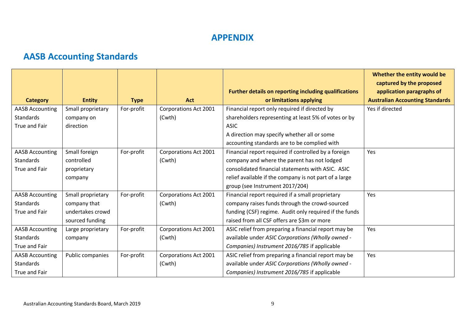#### **APPENDIX**

# **AASB Accounting Standards**

<span id="page-8-1"></span><span id="page-8-0"></span>

|                        |                   |             |                              |                                                        | Whether the entity would be<br>captured by the proposed |
|------------------------|-------------------|-------------|------------------------------|--------------------------------------------------------|---------------------------------------------------------|
|                        |                   |             |                              | Further details on reporting including qualifications  | application paragraphs of                               |
| <b>Category</b>        | <b>Entity</b>     | <b>Type</b> | <b>Act</b>                   | or limitations applying                                | <b>Australian Accounting Standards</b>                  |
| <b>AASB Accounting</b> | Small proprietary | For-profit  | <b>Corporations Act 2001</b> | Financial report only required if directed by          | Yes if directed                                         |
| <b>Standards</b>       | company on        |             | (Cwth)                       | shareholders representing at least 5% of votes or by   |                                                         |
| True and Fair          | direction         |             |                              | <b>ASIC</b>                                            |                                                         |
|                        |                   |             |                              | A direction may specify whether all or some            |                                                         |
|                        |                   |             |                              | accounting standards are to be complied with           |                                                         |
| <b>AASB Accounting</b> | Small foreign     | For-profit  | <b>Corporations Act 2001</b> | Financial report required if controlled by a foreign   | Yes                                                     |
| <b>Standards</b>       | controlled        |             | (Cwth)                       | company and where the parent has not lodged            |                                                         |
| <b>True and Fair</b>   | proprietary       |             |                              | consolidated financial statements with ASIC. ASIC      |                                                         |
|                        | company           |             |                              | relief available if the company is not part of a large |                                                         |
|                        |                   |             |                              | group (see Instrument 2017/204)                        |                                                         |
| <b>AASB Accounting</b> | Small proprietary | For-profit  | <b>Corporations Act 2001</b> | Financial report required if a small proprietary       | Yes                                                     |
| <b>Standards</b>       | company that      |             | (Cwth)                       | company raises funds through the crowd-sourced         |                                                         |
| True and Fair          | undertakes crowd  |             |                              | funding (CSF) regime. Audit only required if the funds |                                                         |
|                        | sourced funding   |             |                              | raised from all CSF offers are \$3m or more            |                                                         |
| <b>AASB Accounting</b> | Large proprietary | For-profit  | <b>Corporations Act 2001</b> | ASIC relief from preparing a financial report may be   | Yes                                                     |
| <b>Standards</b>       | company           |             | (Cwth)                       | available under ASIC Corporations (Wholly owned -      |                                                         |
| True and Fair          |                   |             |                              | Companies) Instrument 2016/785 if applicable           |                                                         |
| <b>AASB Accounting</b> | Public companies  | For-profit  | Corporations Act 2001        | ASIC relief from preparing a financial report may be   | Yes                                                     |
| <b>Standards</b>       |                   |             | (Cwth)                       | available under ASIC Corporations (Wholly owned -      |                                                         |
| True and Fair          |                   |             |                              | Companies) Instrument 2016/785 if applicable           |                                                         |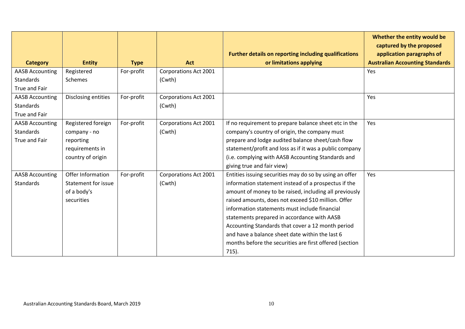|                                                             |                                                                                         |             |                                        | Further details on reporting including qualifications                                                                                                                                                                                                                                                                                                                                                                                                                                                           | Whether the entity would be<br>captured by the proposed<br>application paragraphs of |
|-------------------------------------------------------------|-----------------------------------------------------------------------------------------|-------------|----------------------------------------|-----------------------------------------------------------------------------------------------------------------------------------------------------------------------------------------------------------------------------------------------------------------------------------------------------------------------------------------------------------------------------------------------------------------------------------------------------------------------------------------------------------------|--------------------------------------------------------------------------------------|
| <b>Category</b>                                             | <b>Entity</b>                                                                           | <b>Type</b> | Act                                    | or limitations applying                                                                                                                                                                                                                                                                                                                                                                                                                                                                                         | <b>Australian Accounting Standards</b>                                               |
| <b>AASB Accounting</b><br>Standards<br>True and Fair        | Registered<br>Schemes                                                                   | For-profit  | <b>Corporations Act 2001</b><br>(Cwth) |                                                                                                                                                                                                                                                                                                                                                                                                                                                                                                                 | Yes                                                                                  |
| <b>AASB Accounting</b><br>Standards<br>True and Fair        | Disclosing entities                                                                     | For-profit  | <b>Corporations Act 2001</b><br>(Cwth) |                                                                                                                                                                                                                                                                                                                                                                                                                                                                                                                 | Yes                                                                                  |
| <b>AASB Accounting</b><br><b>Standards</b><br>True and Fair | Registered foreign<br>company - no<br>reporting<br>requirements in<br>country of origin | For-profit  | <b>Corporations Act 2001</b><br>(Cwth) | If no requirement to prepare balance sheet etc in the<br>company's country of origin, the company must<br>prepare and lodge audited balance sheet/cash flow<br>statement/profit and loss as if it was a public company<br>(i.e. complying with AASB Accounting Standards and<br>giving true and fair view)                                                                                                                                                                                                      | Yes                                                                                  |
| <b>AASB Accounting</b><br><b>Standards</b>                  | Offer Information<br>Statement for issue<br>of a body's<br>securities                   | For-profit  | Corporations Act 2001<br>(Cwth)        | Entities issuing securities may do so by using an offer<br>information statement instead of a prospectus if the<br>amount of money to be raised, including all previously<br>raised amounts, does not exceed \$10 million. Offer<br>information statements must include financial<br>statements prepared in accordance with AASB<br>Accounting Standards that cover a 12 month period<br>and have a balance sheet date within the last 6<br>months before the securities are first offered (section<br>$715$ ). | Yes                                                                                  |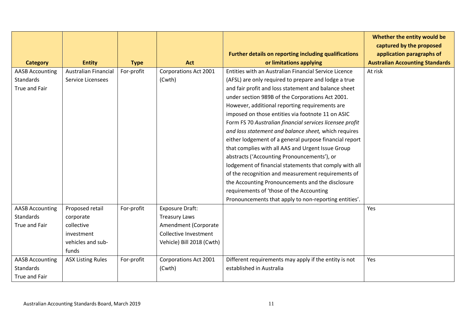|                        |                             |             |                              |                                                                                  | Whether the entity would be<br>captured by the proposed             |
|------------------------|-----------------------------|-------------|------------------------------|----------------------------------------------------------------------------------|---------------------------------------------------------------------|
| <b>Category</b>        | <b>Entity</b>               | <b>Type</b> | <b>Act</b>                   | Further details on reporting including qualifications<br>or limitations applying | application paragraphs of<br><b>Australian Accounting Standards</b> |
| <b>AASB Accounting</b> | <b>Australian Financial</b> | For-profit  | Corporations Act 2001        | Entities with an Australian Financial Service Licence                            | At risk                                                             |
| <b>Standards</b>       | Service Licensees           |             | (Cwth)                       | (AFSL) are only required to prepare and lodge a true                             |                                                                     |
| True and Fair          |                             |             |                              | and fair profit and loss statement and balance sheet                             |                                                                     |
|                        |                             |             |                              | under section 989B of the Corporations Act 2001.                                 |                                                                     |
|                        |                             |             |                              | However, additional reporting requirements are                                   |                                                                     |
|                        |                             |             |                              | imposed on those entities via footnote 11 on ASIC                                |                                                                     |
|                        |                             |             |                              | Form FS 70 Australian financial services licensee profit                         |                                                                     |
|                        |                             |             |                              | and loss statement and balance sheet, which requires                             |                                                                     |
|                        |                             |             |                              | either lodgement of a general purpose financial report                           |                                                                     |
|                        |                             |             |                              | that complies with all AAS and Urgent Issue Group                                |                                                                     |
|                        |                             |             |                              | abstracts ('Accounting Pronouncements'), or                                      |                                                                     |
|                        |                             |             |                              | lodgement of financial statements that comply with all                           |                                                                     |
|                        |                             |             |                              | of the recognition and measurement requirements of                               |                                                                     |
|                        |                             |             |                              | the Accounting Pronouncements and the disclosure                                 |                                                                     |
|                        |                             |             |                              | requirements of 'those of the Accounting                                         |                                                                     |
|                        |                             |             |                              | Pronouncements that apply to non-reporting entities'.                            |                                                                     |
| <b>AASB Accounting</b> | Proposed retail             | For-profit  | <b>Exposure Draft:</b>       |                                                                                  | Yes                                                                 |
| <b>Standards</b>       | corporate                   |             | <b>Treasury Laws</b>         |                                                                                  |                                                                     |
| True and Fair          | collective                  |             | Amendment (Corporate         |                                                                                  |                                                                     |
|                        | investment                  |             | <b>Collective Investment</b> |                                                                                  |                                                                     |
|                        | vehicles and sub-           |             | Vehicle) Bill 2018 (Cwth)    |                                                                                  |                                                                     |
|                        | funds                       |             |                              |                                                                                  |                                                                     |
| <b>AASB Accounting</b> | <b>ASX Listing Rules</b>    | For-profit  | <b>Corporations Act 2001</b> | Different requirements may apply if the entity is not                            | Yes                                                                 |
| <b>Standards</b>       |                             |             | (Cwth)                       | established in Australia                                                         |                                                                     |
| <b>True and Fair</b>   |                             |             |                              |                                                                                  |                                                                     |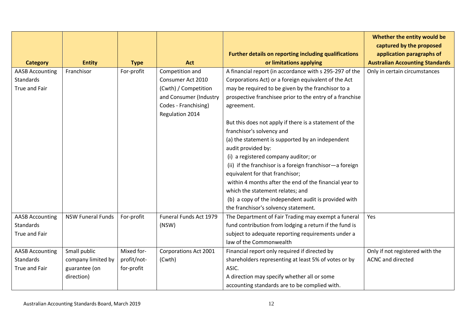|                        |                          |             |                        |                                                          | Whether the entity would be<br>captured by the proposed |
|------------------------|--------------------------|-------------|------------------------|----------------------------------------------------------|---------------------------------------------------------|
|                        |                          |             |                        | Further details on reporting including qualifications    | application paragraphs of                               |
| <b>Category</b>        | <b>Entity</b>            | <b>Type</b> | Act                    | or limitations applying                                  | <b>Australian Accounting Standards</b>                  |
| <b>AASB Accounting</b> | Franchisor               | For-profit  | Competition and        | A financial report (in accordance with s 295-297 of the  | Only in certain circumstances                           |
| <b>Standards</b>       |                          |             | Consumer Act 2010      | Corporations Act) or a foreign equivalent of the Act     |                                                         |
| True and Fair          |                          |             | (Cwth) / Competition   | may be required to be given by the franchisor to a       |                                                         |
|                        |                          |             | and Consumer (Industry | prospective franchisee prior to the entry of a franchise |                                                         |
|                        |                          |             | Codes - Franchising)   | agreement.                                               |                                                         |
|                        |                          |             | Regulation 2014        |                                                          |                                                         |
|                        |                          |             |                        | But this does not apply if there is a statement of the   |                                                         |
|                        |                          |             |                        | franchisor's solvency and                                |                                                         |
|                        |                          |             |                        | (a) the statement is supported by an independent         |                                                         |
|                        |                          |             |                        | audit provided by:                                       |                                                         |
|                        |                          |             |                        | (i) a registered company auditor; or                     |                                                         |
|                        |                          |             |                        | (ii) if the franchisor is a foreign franchisor-a foreign |                                                         |
|                        |                          |             |                        | equivalent for that franchisor;                          |                                                         |
|                        |                          |             |                        | within 4 months after the end of the financial year to   |                                                         |
|                        |                          |             |                        | which the statement relates; and                         |                                                         |
|                        |                          |             |                        | (b) a copy of the independent audit is provided with     |                                                         |
|                        |                          |             |                        | the franchisor's solvency statement.                     |                                                         |
| <b>AASB Accounting</b> | <b>NSW Funeral Funds</b> | For-profit  | Funeral Funds Act 1979 | The Department of Fair Trading may exempt a funeral      | Yes                                                     |
| <b>Standards</b>       |                          |             | (NSW)                  | fund contribution from lodging a return if the fund is   |                                                         |
| True and Fair          |                          |             |                        | subject to adequate reporting requirements under a       |                                                         |
|                        |                          |             |                        | law of the Commonwealth                                  |                                                         |
| <b>AASB Accounting</b> | Small public             | Mixed for-  | Corporations Act 2001  | Financial report only required if directed by            | Only if not registered with the                         |
| <b>Standards</b>       | company limited by       | profit/not- | (Cwth)                 | shareholders representing at least 5% of votes or by     | <b>ACNC</b> and directed                                |
| True and Fair          | guarantee (on            | for-profit  |                        | ASIC.                                                    |                                                         |
|                        | direction)               |             |                        | A direction may specify whether all or some              |                                                         |
|                        |                          |             |                        | accounting standards are to be complied with.            |                                                         |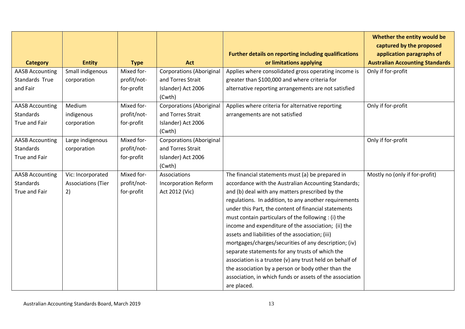|                        |                           |             |                                 |                                                          | Whether the entity would be<br>captured by the proposed |
|------------------------|---------------------------|-------------|---------------------------------|----------------------------------------------------------|---------------------------------------------------------|
|                        |                           |             |                                 | Further details on reporting including qualifications    | application paragraphs of                               |
| <b>Category</b>        | <b>Entity</b>             | <b>Type</b> | <b>Act</b>                      | or limitations applying                                  | <b>Australian Accounting Standards</b>                  |
| <b>AASB Accounting</b> | Small indigenous          | Mixed for-  | <b>Corporations (Aboriginal</b> | Applies where consolidated gross operating income is     | Only if for-profit                                      |
| Standards True         | corporation               | profit/not- | and Torres Strait               | greater than \$100,000 and where criteria for            |                                                         |
| and Fair               |                           | for-profit  | Islander) Act 2006              | alternative reporting arrangements are not satisfied     |                                                         |
|                        |                           |             | (Cwth)                          |                                                          |                                                         |
| <b>AASB Accounting</b> | Medium                    | Mixed for-  | <b>Corporations (Aboriginal</b> | Applies where criteria for alternative reporting         | Only if for-profit                                      |
| <b>Standards</b>       | indigenous                | profit/not- | and Torres Strait               | arrangements are not satisfied                           |                                                         |
| True and Fair          | corporation               | for-profit  | Islander) Act 2006              |                                                          |                                                         |
|                        |                           |             | (Cwth)                          |                                                          |                                                         |
| <b>AASB Accounting</b> | Large indigenous          | Mixed for-  | <b>Corporations (Aboriginal</b> |                                                          | Only if for-profit                                      |
| <b>Standards</b>       | corporation               | profit/not- | and Torres Strait               |                                                          |                                                         |
| True and Fair          |                           | for-profit  | Islander) Act 2006              |                                                          |                                                         |
|                        |                           |             | (Cwth)                          |                                                          |                                                         |
| <b>AASB Accounting</b> | Vic: Incorporated         | Mixed for-  | Associations                    | The financial statements must (a) be prepared in         | Mostly no (only if for-profit)                          |
| <b>Standards</b>       | <b>Associations (Tier</b> | profit/not- | <b>Incorporation Reform</b>     | accordance with the Australian Accounting Standards;     |                                                         |
| True and Fair          | 2)                        | for-profit  | Act 2012 (Vic)                  | and (b) deal with any matters prescribed by the          |                                                         |
|                        |                           |             |                                 | regulations. In addition, to any another requirements    |                                                         |
|                        |                           |             |                                 | under this Part, the content of financial statements     |                                                         |
|                        |                           |             |                                 | must contain particulars of the following : (i) the      |                                                         |
|                        |                           |             |                                 | income and expenditure of the association; (ii) the      |                                                         |
|                        |                           |             |                                 | assets and liabilities of the association; (iii)         |                                                         |
|                        |                           |             |                                 | mortgages/charges/securities of any description; (iv)    |                                                         |
|                        |                           |             |                                 | separate statements for any trusts of which the          |                                                         |
|                        |                           |             |                                 | association is a trustee (v) any trust held on behalf of |                                                         |
|                        |                           |             |                                 | the association by a person or body other than the       |                                                         |
|                        |                           |             |                                 | association, in which funds or assets of the association |                                                         |
|                        |                           |             |                                 | are placed.                                              |                                                         |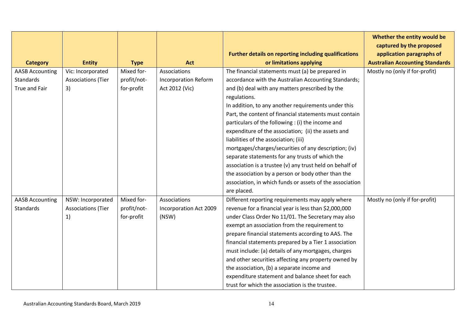|                        |                           |             |                             |                                                          | Whether the entity would be<br>captured by the proposed |
|------------------------|---------------------------|-------------|-----------------------------|----------------------------------------------------------|---------------------------------------------------------|
|                        |                           |             |                             | Further details on reporting including qualifications    | application paragraphs of                               |
| <b>Category</b>        | <b>Entity</b>             | <b>Type</b> | Act                         | or limitations applying                                  | <b>Australian Accounting Standards</b>                  |
| <b>AASB Accounting</b> | Vic: Incorporated         | Mixed for-  | Associations                | The financial statements must (a) be prepared in         | Mostly no (only if for-profit)                          |
| <b>Standards</b>       | <b>Associations (Tier</b> | profit/not- | <b>Incorporation Reform</b> | accordance with the Australian Accounting Standards;     |                                                         |
| <b>True and Fair</b>   | 3)                        | for-profit  | Act 2012 (Vic)              | and (b) deal with any matters prescribed by the          |                                                         |
|                        |                           |             |                             | regulations.                                             |                                                         |
|                        |                           |             |                             | In addition, to any another requirements under this      |                                                         |
|                        |                           |             |                             | Part, the content of financial statements must contain   |                                                         |
|                        |                           |             |                             | particulars of the following : (i) the income and        |                                                         |
|                        |                           |             |                             | expenditure of the association; (ii) the assets and      |                                                         |
|                        |                           |             |                             | liabilities of the association; (iii)                    |                                                         |
|                        |                           |             |                             | mortgages/charges/securities of any description; (iv)    |                                                         |
|                        |                           |             |                             | separate statements for any trusts of which the          |                                                         |
|                        |                           |             |                             | association is a trustee (v) any trust held on behalf of |                                                         |
|                        |                           |             |                             | the association by a person or body other than the       |                                                         |
|                        |                           |             |                             | association, in which funds or assets of the association |                                                         |
|                        |                           |             |                             | are placed.                                              |                                                         |
| <b>AASB Accounting</b> | NSW: Incorporated         | Mixed for-  | Associations                | Different reporting requirements may apply where         | Mostly no (only if for-profit)                          |
| Standards              | <b>Associations (Tier</b> | profit/not- | Incorporation Act 2009      | revenue for a financial year is less than \$2,000,000    |                                                         |
|                        | 1)                        | for-profit  | (NSW)                       | under Class Order No 11/01. The Secretary may also       |                                                         |
|                        |                           |             |                             | exempt an association from the requirement to            |                                                         |
|                        |                           |             |                             | prepare financial statements according to AAS. The       |                                                         |
|                        |                           |             |                             | financial statements prepared by a Tier 1 association    |                                                         |
|                        |                           |             |                             | must include: (a) details of any mortgages, charges      |                                                         |
|                        |                           |             |                             | and other securities affecting any property owned by     |                                                         |
|                        |                           |             |                             | the association, (b) a separate income and               |                                                         |
|                        |                           |             |                             | expenditure statement and balance sheet for each         |                                                         |
|                        |                           |             |                             | trust for which the association is the trustee.          |                                                         |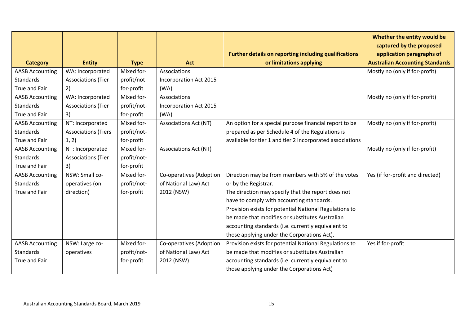|                        |                            |             |                              |                                                                                  | Whether the entity would be<br>captured by the proposed             |
|------------------------|----------------------------|-------------|------------------------------|----------------------------------------------------------------------------------|---------------------------------------------------------------------|
| <b>Category</b>        | <b>Entity</b>              | <b>Type</b> | <b>Act</b>                   | Further details on reporting including qualifications<br>or limitations applying | application paragraphs of<br><b>Australian Accounting Standards</b> |
| <b>AASB Accounting</b> | WA: Incorporated           | Mixed for-  | Associations                 |                                                                                  | Mostly no (only if for-profit)                                      |
| <b>Standards</b>       | <b>Associations (Tier</b>  | profit/not- | Incorporation Act 2015       |                                                                                  |                                                                     |
|                        |                            |             |                              |                                                                                  |                                                                     |
| True and Fair          | 2)                         | for-profit  | (WA)                         |                                                                                  |                                                                     |
| <b>AASB Accounting</b> | WA: Incorporated           | Mixed for-  | Associations                 |                                                                                  | Mostly no (only if for-profit)                                      |
| <b>Standards</b>       | <b>Associations (Tier</b>  | profit/not- | Incorporation Act 2015       |                                                                                  |                                                                     |
| True and Fair          | 3)                         | for-profit  | (WA)                         |                                                                                  |                                                                     |
| <b>AASB Accounting</b> | NT: Incorporated           | Mixed for-  | <b>Associations Act (NT)</b> | An option for a special purpose financial report to be                           | Mostly no (only if for-profit)                                      |
| Standards              | <b>Associations (Tiers</b> | profit/not- |                              | prepared as per Schedule 4 of the Regulations is                                 |                                                                     |
| True and Fair          | 1, 2)                      | for-profit  |                              | available for tier 1 and tier 2 incorporated associations                        |                                                                     |
| <b>AASB Accounting</b> | NT: Incorporated           | Mixed for-  | <b>Associations Act (NT)</b> |                                                                                  | Mostly no (only if for-profit)                                      |
| <b>Standards</b>       | <b>Associations (Tier</b>  | profit/not- |                              |                                                                                  |                                                                     |
| True and Fair          | 3)                         | for-profit  |                              |                                                                                  |                                                                     |
| <b>AASB Accounting</b> | NSW: Small co-             | Mixed for-  | Co-operatives (Adoption      | Direction may be from members with 5% of the votes                               | Yes (if for-profit and directed)                                    |
| Standards              | operatives (on             | profit/not- | of National Law) Act         | or by the Registrar.                                                             |                                                                     |
| True and Fair          | direction)                 | for-profit  | 2012 (NSW)                   | The direction may specify that the report does not                               |                                                                     |
|                        |                            |             |                              | have to comply with accounting standards.                                        |                                                                     |
|                        |                            |             |                              | Provision exists for potential National Regulations to                           |                                                                     |
|                        |                            |             |                              | be made that modifies or substitutes Australian                                  |                                                                     |
|                        |                            |             |                              | accounting standards (i.e. currently equivalent to                               |                                                                     |
|                        |                            |             |                              | those applying under the Corporations Act).                                      |                                                                     |
| <b>AASB Accounting</b> | NSW: Large co-             | Mixed for-  | Co-operatives (Adoption      | Provision exists for potential National Regulations to                           | Yes if for-profit                                                   |
| <b>Standards</b>       | operatives                 | profit/not- | of National Law) Act         | be made that modifies or substitutes Australian                                  |                                                                     |
| True and Fair          |                            | for-profit  | 2012 (NSW)                   | accounting standards (i.e. currently equivalent to                               |                                                                     |
|                        |                            |             |                              | those applying under the Corporations Act)                                       |                                                                     |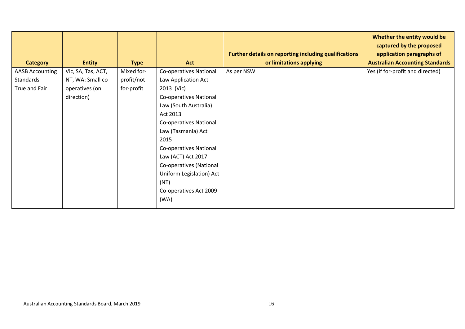|                        |                    |             |                               |                                                       | Whether the entity would be<br>captured by the proposed |
|------------------------|--------------------|-------------|-------------------------------|-------------------------------------------------------|---------------------------------------------------------|
|                        |                    |             |                               | Further details on reporting including qualifications | application paragraphs of                               |
| <b>Category</b>        | <b>Entity</b>      | <b>Type</b> | Act                           | or limitations applying                               | <b>Australian Accounting Standards</b>                  |
| <b>AASB Accounting</b> | Vic, SA, Tas, ACT, | Mixed for-  | <b>Co-operatives National</b> | As per NSW                                            | Yes (if for-profit and directed)                        |
| Standards              | NT, WA: Small co-  | profit/not- | Law Application Act           |                                                       |                                                         |
| True and Fair          | operatives (on     | for-profit  | 2013 (Vic)                    |                                                       |                                                         |
|                        | direction)         |             | Co-operatives National        |                                                       |                                                         |
|                        |                    |             | Law (South Australia)         |                                                       |                                                         |
|                        |                    |             | Act 2013                      |                                                       |                                                         |
|                        |                    |             | Co-operatives National        |                                                       |                                                         |
|                        |                    |             | Law (Tasmania) Act            |                                                       |                                                         |
|                        |                    |             | 2015                          |                                                       |                                                         |
|                        |                    |             | Co-operatives National        |                                                       |                                                         |
|                        |                    |             | Law (ACT) Act 2017            |                                                       |                                                         |
|                        |                    |             | Co-operatives (National       |                                                       |                                                         |
|                        |                    |             | Uniform Legislation) Act      |                                                       |                                                         |
|                        |                    |             | (NT)                          |                                                       |                                                         |
|                        |                    |             | Co-operatives Act 2009        |                                                       |                                                         |
|                        |                    |             | (WA)                          |                                                       |                                                         |
|                        |                    |             |                               |                                                       |                                                         |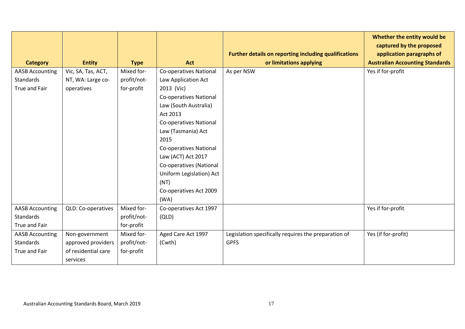| <b>Category</b>        | <b>Entity</b>       | <b>Type</b> | Act                           | Further details on reporting including qualifications<br>or limitations applying | Whether the entity would be<br>captured by the proposed<br>application paragraphs of<br><b>Australian Accounting Standards</b> |
|------------------------|---------------------|-------------|-------------------------------|----------------------------------------------------------------------------------|--------------------------------------------------------------------------------------------------------------------------------|
| <b>AASB Accounting</b> | Vic, SA, Tas, ACT,  | Mixed for-  | <b>Co-operatives National</b> | As per NSW                                                                       | Yes if for-profit                                                                                                              |
| <b>Standards</b>       | NT, WA: Large co-   | profit/not- | Law Application Act           |                                                                                  |                                                                                                                                |
| True and Fair          | operatives          | for-profit  | 2013 (Vic)                    |                                                                                  |                                                                                                                                |
|                        |                     |             | <b>Co-operatives National</b> |                                                                                  |                                                                                                                                |
|                        |                     |             | Law (South Australia)         |                                                                                  |                                                                                                                                |
|                        |                     |             | Act 2013                      |                                                                                  |                                                                                                                                |
|                        |                     |             | <b>Co-operatives National</b> |                                                                                  |                                                                                                                                |
|                        |                     |             | Law (Tasmania) Act            |                                                                                  |                                                                                                                                |
|                        |                     |             | 2015                          |                                                                                  |                                                                                                                                |
|                        |                     |             | <b>Co-operatives National</b> |                                                                                  |                                                                                                                                |
|                        |                     |             | Law (ACT) Act 2017            |                                                                                  |                                                                                                                                |
|                        |                     |             | Co-operatives (National       |                                                                                  |                                                                                                                                |
|                        |                     |             | Uniform Legislation) Act      |                                                                                  |                                                                                                                                |
|                        |                     |             | (NT)                          |                                                                                  |                                                                                                                                |
|                        |                     |             | Co-operatives Act 2009        |                                                                                  |                                                                                                                                |
|                        |                     |             | (WA)                          |                                                                                  |                                                                                                                                |
| <b>AASB Accounting</b> | QLD: Co-operatives  | Mixed for-  | Co-operatives Act 1997        |                                                                                  | Yes if for-profit                                                                                                              |
| Standards              |                     | profit/not- | (QLD)                         |                                                                                  |                                                                                                                                |
| True and Fair          |                     | for-profit  |                               |                                                                                  |                                                                                                                                |
| <b>AASB Accounting</b> | Non-government      | Mixed for-  | Aged Care Act 1997            | Legislation specifically requires the preparation of                             | Yes (if for-profit)                                                                                                            |
| <b>Standards</b>       | approved providers  | profit/not- | (Cwth)                        | <b>GPFS</b>                                                                      |                                                                                                                                |
| True and Fair          | of residential care | for-profit  |                               |                                                                                  |                                                                                                                                |
|                        | services            |             |                               |                                                                                  |                                                                                                                                |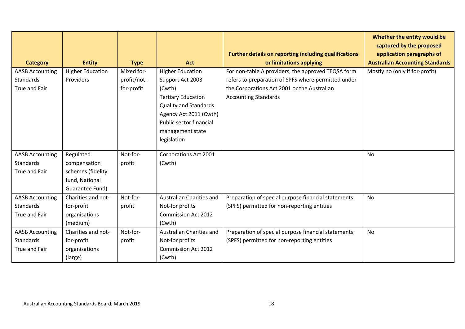| <b>Category</b>                                             | <b>Entity</b>                                                                       | <b>Type</b>                             | Act                                                                                                                                                                                                        | Further details on reporting including qualifications<br>or limitations applying                                                                                                        | Whether the entity would be<br>captured by the proposed<br>application paragraphs of<br><b>Australian Accounting Standards</b> |
|-------------------------------------------------------------|-------------------------------------------------------------------------------------|-----------------------------------------|------------------------------------------------------------------------------------------------------------------------------------------------------------------------------------------------------------|-----------------------------------------------------------------------------------------------------------------------------------------------------------------------------------------|--------------------------------------------------------------------------------------------------------------------------------|
| <b>AASB Accounting</b><br>Standards<br>True and Fair        | <b>Higher Education</b><br><b>Providers</b>                                         | Mixed for-<br>profit/not-<br>for-profit | <b>Higher Education</b><br>Support Act 2003<br>(Cwth)<br><b>Tertiary Education</b><br><b>Quality and Standards</b><br>Agency Act 2011 (Cwth)<br>Public sector financial<br>management state<br>legislation | For non-table A providers, the approved TEQSA form<br>refers to preparation of SPFS where permitted under<br>the Corporations Act 2001 or the Australian<br><b>Accounting Standards</b> | Mostly no (only if for-profit)                                                                                                 |
| <b>AASB Accounting</b><br><b>Standards</b><br>True and Fair | Regulated<br>compensation<br>schemes (fidelity<br>fund, National<br>Guarantee Fund) | Not-for-<br>profit                      | <b>Corporations Act 2001</b><br>(Cwth)                                                                                                                                                                     |                                                                                                                                                                                         | No                                                                                                                             |
| <b>AASB Accounting</b><br><b>Standards</b><br>True and Fair | Charities and not-<br>for-profit<br>organisations<br>(medium)                       | Not-for-<br>profit                      | Australian Charities and<br>Not-for profits<br><b>Commission Act 2012</b><br>(Cwth)                                                                                                                        | Preparation of special purpose financial statements<br>(SPFS) permitted for non-reporting entities                                                                                      | No                                                                                                                             |
| <b>AASB Accounting</b><br><b>Standards</b><br>True and Fair | Charities and not-<br>for-profit<br>organisations<br>(large)                        | Not-for-<br>profit                      | Australian Charities and<br>Not-for profits<br><b>Commission Act 2012</b><br>(Cwth)                                                                                                                        | Preparation of special purpose financial statements<br>(SPFS) permitted for non-reporting entities                                                                                      | <b>No</b>                                                                                                                      |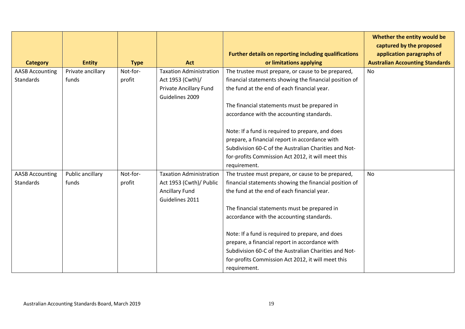|                                            |                            |                    |                                                                                                        | Further details on reporting including qualifications                                                                                                                                                                                                                                                                                                                                                                                                                                         | Whether the entity would be<br>captured by the proposed<br>application paragraphs of |
|--------------------------------------------|----------------------------|--------------------|--------------------------------------------------------------------------------------------------------|-----------------------------------------------------------------------------------------------------------------------------------------------------------------------------------------------------------------------------------------------------------------------------------------------------------------------------------------------------------------------------------------------------------------------------------------------------------------------------------------------|--------------------------------------------------------------------------------------|
| <b>Category</b>                            | <b>Entity</b>              | <b>Type</b>        | <b>Act</b>                                                                                             | or limitations applying                                                                                                                                                                                                                                                                                                                                                                                                                                                                       | <b>Australian Accounting Standards</b>                                               |
| <b>AASB Accounting</b><br><b>Standards</b> | Private ancillary<br>funds | Not-for-<br>profit | <b>Taxation Administration</b><br>Act 1953 (Cwth)/<br><b>Private Ancillary Fund</b><br>Guidelines 2009 | The trustee must prepare, or cause to be prepared,<br>financial statements showing the financial position of<br>the fund at the end of each financial year.<br>The financial statements must be prepared in<br>accordance with the accounting standards.                                                                                                                                                                                                                                      | <b>No</b>                                                                            |
|                                            |                            |                    |                                                                                                        | Note: If a fund is required to prepare, and does<br>prepare, a financial report in accordance with<br>Subdivision 60-C of the Australian Charities and Not-<br>for-profits Commission Act 2012, it will meet this<br>requirement.                                                                                                                                                                                                                                                             |                                                                                      |
| <b>AASB Accounting</b><br><b>Standards</b> | Public ancillary<br>funds  | Not-for-<br>profit | <b>Taxation Administration</b><br>Act 1953 (Cwth)/ Public<br><b>Ancillary Fund</b><br>Guidelines 2011  | The trustee must prepare, or cause to be prepared,<br>financial statements showing the financial position of<br>the fund at the end of each financial year.<br>The financial statements must be prepared in<br>accordance with the accounting standards.<br>Note: If a fund is required to prepare, and does<br>prepare, a financial report in accordance with<br>Subdivision 60-C of the Australian Charities and Not-<br>for-profits Commission Act 2012, it will meet this<br>requirement. | <b>No</b>                                                                            |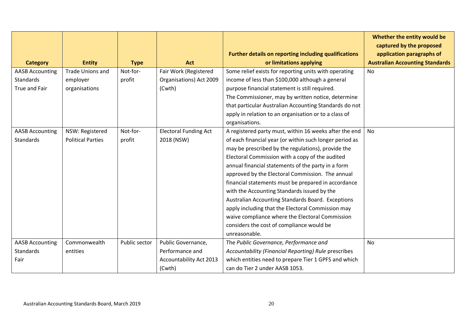|                        |                          |               |                                | Further details on reporting including qualifications   | Whether the entity would be<br>captured by the proposed<br>application paragraphs of |
|------------------------|--------------------------|---------------|--------------------------------|---------------------------------------------------------|--------------------------------------------------------------------------------------|
| <b>Category</b>        | <b>Entity</b>            | <b>Type</b>   | Act                            | or limitations applying                                 | <b>Australian Accounting Standards</b>                                               |
| <b>AASB Accounting</b> | <b>Trade Unions and</b>  | Not-for-      | Fair Work (Registered          | Some relief exists for reporting units with operating   | No                                                                                   |
| Standards              | employer                 | profit        | Organisations) Act 2009        | income of less than \$100,000 although a general        |                                                                                      |
| True and Fair          | organisations            |               | (Cwth)                         | purpose financial statement is still required.          |                                                                                      |
|                        |                          |               |                                | The Commissioner, may by written notice, determine      |                                                                                      |
|                        |                          |               |                                | that particular Australian Accounting Standards do not  |                                                                                      |
|                        |                          |               |                                | apply in relation to an organisation or to a class of   |                                                                                      |
|                        |                          |               |                                | organisations.                                          |                                                                                      |
| <b>AASB Accounting</b> | NSW: Registered          | Not-for-      | <b>Electoral Funding Act</b>   | A registered party must, within 16 weeks after the end  | No                                                                                   |
| Standards              | <b>Political Parties</b> | profit        | 2018 (NSW)                     | of each financial year (or within such longer period as |                                                                                      |
|                        |                          |               |                                | may be prescribed by the regulations), provide the      |                                                                                      |
|                        |                          |               |                                | Electoral Commission with a copy of the audited         |                                                                                      |
|                        |                          |               |                                | annual financial statements of the party in a form      |                                                                                      |
|                        |                          |               |                                | approved by the Electoral Commission. The annual        |                                                                                      |
|                        |                          |               |                                | financial statements must be prepared in accordance     |                                                                                      |
|                        |                          |               |                                | with the Accounting Standards issued by the             |                                                                                      |
|                        |                          |               |                                | Australian Accounting Standards Board. Exceptions       |                                                                                      |
|                        |                          |               |                                | apply including that the Electoral Commission may       |                                                                                      |
|                        |                          |               |                                | waive compliance where the Electoral Commission         |                                                                                      |
|                        |                          |               |                                | considers the cost of compliance would be               |                                                                                      |
|                        |                          |               |                                | unreasonable.                                           |                                                                                      |
| <b>AASB Accounting</b> | Commonwealth             | Public sector | Public Governance,             | The Public Governance, Performance and                  | No                                                                                   |
| Standards              | entities                 |               | Performance and                | Accountability (Financial Reporting) Rule prescribes    |                                                                                      |
| Fair                   |                          |               | <b>Accountability Act 2013</b> | which entities need to prepare Tier 1 GPFS and which    |                                                                                      |
|                        |                          |               | (Cwth)                         | can do Tier 2 under AASB 1053.                          |                                                                                      |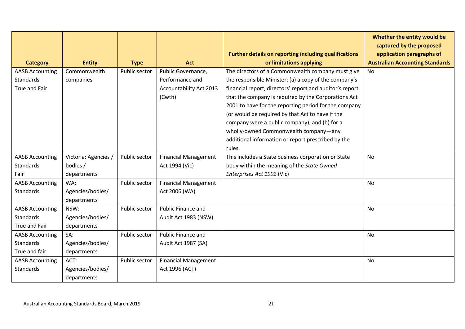| <b>Category</b>        | <b>Entity</b>        | <b>Type</b>   | Act                            | <b>Further details on reporting including qualifications</b><br>or limitations applying | Whether the entity would be<br>captured by the proposed<br>application paragraphs of<br><b>Australian Accounting Standards</b> |
|------------------------|----------------------|---------------|--------------------------------|-----------------------------------------------------------------------------------------|--------------------------------------------------------------------------------------------------------------------------------|
| <b>AASB Accounting</b> | Commonwealth         | Public sector | Public Governance,             | The directors of a Commonwealth company must give                                       | No                                                                                                                             |
| <b>Standards</b>       | companies            |               | Performance and                | the responsible Minister: (a) a copy of the company's                                   |                                                                                                                                |
| <b>True and Fair</b>   |                      |               | <b>Accountability Act 2013</b> | financial report, directors' report and auditor's report                                |                                                                                                                                |
|                        |                      |               | (Cwth)                         | that the company is required by the Corporations Act                                    |                                                                                                                                |
|                        |                      |               |                                | 2001 to have for the reporting period for the company                                   |                                                                                                                                |
|                        |                      |               |                                | (or would be required by that Act to have if the                                        |                                                                                                                                |
|                        |                      |               |                                | company were a public company); and (b) for a                                           |                                                                                                                                |
|                        |                      |               |                                | wholly-owned Commonwealth company-any                                                   |                                                                                                                                |
|                        |                      |               |                                | additional information or report prescribed by the                                      |                                                                                                                                |
|                        |                      |               |                                | rules.                                                                                  |                                                                                                                                |
| <b>AASB Accounting</b> | Victoria: Agencies / | Public sector | <b>Financial Management</b>    | This includes a State business corporation or State                                     | <b>No</b>                                                                                                                      |
| <b>Standards</b>       | bodies /             |               | Act 1994 (Vic)                 | body within the meaning of the State Owned                                              |                                                                                                                                |
| Fair                   | departments          |               |                                | Enterprises Act 1992 (Vic)                                                              |                                                                                                                                |
| <b>AASB Accounting</b> | WA:                  | Public sector | <b>Financial Management</b>    |                                                                                         | <b>No</b>                                                                                                                      |
| <b>Standards</b>       | Agencies/bodies/     |               | Act 2006 (WA)                  |                                                                                         |                                                                                                                                |
|                        | departments          |               |                                |                                                                                         |                                                                                                                                |
| <b>AASB Accounting</b> | NSW:                 | Public sector | Public Finance and             |                                                                                         | No                                                                                                                             |
| <b>Standards</b>       | Agencies/bodies/     |               | Audit Act 1983 (NSW)           |                                                                                         |                                                                                                                                |
| True and Fair          | departments          |               |                                |                                                                                         |                                                                                                                                |
| <b>AASB Accounting</b> | SA:                  | Public sector | Public Finance and             |                                                                                         | No                                                                                                                             |
| <b>Standards</b>       | Agencies/bodies/     |               | Audit Act 1987 (SA)            |                                                                                         |                                                                                                                                |
| True and fair          | departments          |               |                                |                                                                                         |                                                                                                                                |
| <b>AASB Accounting</b> | ACT:                 | Public sector | <b>Financial Management</b>    |                                                                                         | No                                                                                                                             |
| <b>Standards</b>       | Agencies/bodies/     |               | Act 1996 (ACT)                 |                                                                                         |                                                                                                                                |
|                        | departments          |               |                                |                                                                                         |                                                                                                                                |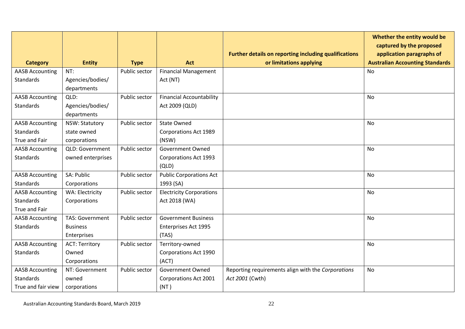|                        |                        |               |                                 | Further details on reporting including qualifications | Whether the entity would be<br>captured by the proposed<br>application paragraphs of |
|------------------------|------------------------|---------------|---------------------------------|-------------------------------------------------------|--------------------------------------------------------------------------------------|
| <b>Category</b>        | <b>Entity</b>          | <b>Type</b>   | Act                             | or limitations applying                               | <b>Australian Accounting Standards</b>                                               |
| <b>AASB Accounting</b> | NT:                    | Public sector | <b>Financial Management</b>     |                                                       | No                                                                                   |
| Standards              | Agencies/bodies/       |               | Act (NT)                        |                                                       |                                                                                      |
|                        | departments            |               |                                 |                                                       |                                                                                      |
| <b>AASB Accounting</b> | QLD:                   | Public sector | <b>Financial Accountability</b> |                                                       | <b>No</b>                                                                            |
| <b>Standards</b>       | Agencies/bodies/       |               | Act 2009 (QLD)                  |                                                       |                                                                                      |
|                        | departments            |               |                                 |                                                       |                                                                                      |
| <b>AASB Accounting</b> | NSW: Statutory         | Public sector | <b>State Owned</b>              |                                                       | <b>No</b>                                                                            |
| <b>Standards</b>       | state owned            |               | <b>Corporations Act 1989</b>    |                                                       |                                                                                      |
| True and Fair          | corporations           |               | (NSW)                           |                                                       |                                                                                      |
| <b>AASB Accounting</b> | QLD: Government        | Public sector | <b>Government Owned</b>         |                                                       | No                                                                                   |
| <b>Standards</b>       | owned enterprises      |               | <b>Corporations Act 1993</b>    |                                                       |                                                                                      |
|                        |                        |               | (QLD)                           |                                                       |                                                                                      |
| <b>AASB Accounting</b> | SA: Public             | Public sector | <b>Public Corporations Act</b>  |                                                       | No                                                                                   |
| <b>Standards</b>       | Corporations           |               | 1993 (SA)                       |                                                       |                                                                                      |
| <b>AASB Accounting</b> | WA: Electricity        | Public sector | <b>Electricity Corporations</b> |                                                       | No                                                                                   |
| <b>Standards</b>       | Corporations           |               | Act 2018 (WA)                   |                                                       |                                                                                      |
| True and Fair          |                        |               |                                 |                                                       |                                                                                      |
| <b>AASB Accounting</b> | <b>TAS: Government</b> | Public sector | <b>Government Business</b>      |                                                       | No                                                                                   |
| <b>Standards</b>       | <b>Business</b>        |               | Enterprises Act 1995            |                                                       |                                                                                      |
|                        | Enterprises            |               | (TAS)                           |                                                       |                                                                                      |
| <b>AASB Accounting</b> | <b>ACT: Territory</b>  | Public sector | Territory-owned                 |                                                       | <b>No</b>                                                                            |
| <b>Standards</b>       | Owned                  |               | Corporations Act 1990           |                                                       |                                                                                      |
|                        | Corporations           |               | (ACT)                           |                                                       |                                                                                      |
| <b>AASB Accounting</b> | NT: Government         | Public sector | Government Owned                | Reporting requirements align with the Corporations    | No                                                                                   |
| <b>Standards</b>       | owned                  |               | Corporations Act 2001           | Act 2001 (Cwth)                                       |                                                                                      |
| True and fair view     | corporations           |               | (NT)                            |                                                       |                                                                                      |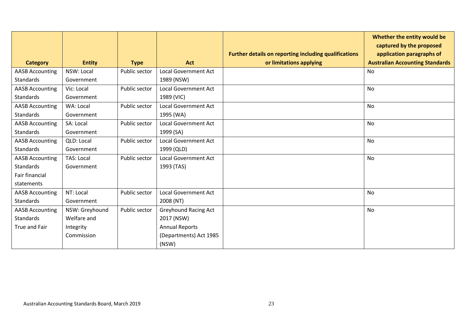|                        |                   |               |                             | Further details on reporting including qualifications | Whether the entity would be<br>captured by the proposed<br>application paragraphs of |
|------------------------|-------------------|---------------|-----------------------------|-------------------------------------------------------|--------------------------------------------------------------------------------------|
| <b>Category</b>        | <b>Entity</b>     | <b>Type</b>   | <b>Act</b>                  | or limitations applying                               | <b>Australian Accounting Standards</b>                                               |
| <b>AASB Accounting</b> | NSW: Local        | Public sector | <b>Local Government Act</b> |                                                       | No                                                                                   |
| <b>Standards</b>       | Government        |               | 1989 (NSW)                  |                                                       |                                                                                      |
| <b>AASB Accounting</b> | Vic: Local        | Public sector | <b>Local Government Act</b> |                                                       | No                                                                                   |
| <b>Standards</b>       | Government        |               | 1989 (VIC)                  |                                                       |                                                                                      |
| <b>AASB Accounting</b> | WA: Local         | Public sector | <b>Local Government Act</b> |                                                       | No                                                                                   |
| <b>Standards</b>       | Government        |               | 1995 (WA)                   |                                                       |                                                                                      |
| <b>AASB Accounting</b> | SA: Local         | Public sector | <b>Local Government Act</b> |                                                       | <b>No</b>                                                                            |
| <b>Standards</b>       | Government        |               | 1999 (SA)                   |                                                       |                                                                                      |
| <b>AASB Accounting</b> | QLD: Local        | Public sector | <b>Local Government Act</b> |                                                       | No                                                                                   |
| <b>Standards</b>       | Government        |               | 1999 (QLD)                  |                                                       |                                                                                      |
| <b>AASB Accounting</b> | <b>TAS: Local</b> | Public sector | <b>Local Government Act</b> |                                                       | <b>No</b>                                                                            |
| <b>Standards</b>       | Government        |               | 1993 (TAS)                  |                                                       |                                                                                      |
| <b>Fair financial</b>  |                   |               |                             |                                                       |                                                                                      |
| statements             |                   |               |                             |                                                       |                                                                                      |
| <b>AASB Accounting</b> | NT: Local         | Public sector | <b>Local Government Act</b> |                                                       | No                                                                                   |
| Standards              | Government        |               | 2008 (NT)                   |                                                       |                                                                                      |
| <b>AASB Accounting</b> | NSW: Greyhound    | Public sector | <b>Greyhound Racing Act</b> |                                                       | No                                                                                   |
| <b>Standards</b>       | Welfare and       |               | 2017 (NSW)                  |                                                       |                                                                                      |
| True and Fair          | Integrity         |               | <b>Annual Reports</b>       |                                                       |                                                                                      |
|                        | Commission        |               | (Departments) Act 1985      |                                                       |                                                                                      |
|                        |                   |               | (NSW)                       |                                                       |                                                                                      |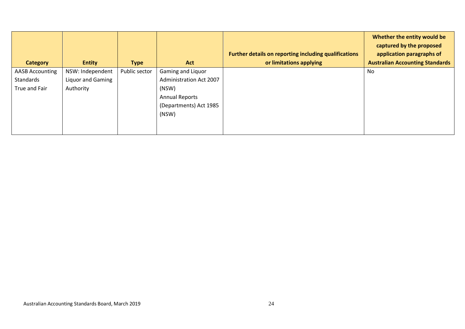| Category               | <b>Entity</b>     | <b>Type</b>   | <b>Act</b>                     | Further details on reporting including qualifications<br>or limitations applying | Whether the entity would be<br>captured by the proposed<br>application paragraphs of<br><b>Australian Accounting Standards</b> |
|------------------------|-------------------|---------------|--------------------------------|----------------------------------------------------------------------------------|--------------------------------------------------------------------------------------------------------------------------------|
| <b>AASB Accounting</b> | NSW: Independent  | Public sector | Gaming and Liquor              |                                                                                  | No                                                                                                                             |
| Standards              | Liquor and Gaming |               | <b>Administration Act 2007</b> |                                                                                  |                                                                                                                                |
| True and Fair          | Authority         |               | (NSW)                          |                                                                                  |                                                                                                                                |
|                        |                   |               | <b>Annual Reports</b>          |                                                                                  |                                                                                                                                |
|                        |                   |               | (Departments) Act 1985         |                                                                                  |                                                                                                                                |
|                        |                   |               | (NSW)                          |                                                                                  |                                                                                                                                |
|                        |                   |               |                                |                                                                                  |                                                                                                                                |
|                        |                   |               |                                |                                                                                  |                                                                                                                                |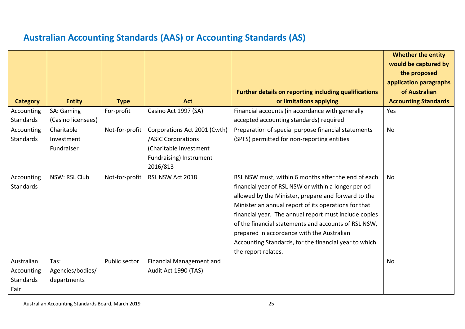# **Australian Accounting Standards (AAS) or Accounting Standards (AS)**

<span id="page-24-0"></span>

|                  |                    |                |                              |                                                              | <b>Whether the entity</b>   |
|------------------|--------------------|----------------|------------------------------|--------------------------------------------------------------|-----------------------------|
|                  |                    |                |                              |                                                              | would be captured by        |
|                  |                    |                |                              |                                                              | the proposed                |
|                  |                    |                |                              |                                                              | application paragraphs      |
|                  |                    |                |                              | <b>Further details on reporting including qualifications</b> | of Australian               |
| <b>Category</b>  | <b>Entity</b>      | <b>Type</b>    | <b>Act</b>                   | or limitations applying                                      | <b>Accounting Standards</b> |
| Accounting       | SA: Gaming         | For-profit     | Casino Act 1997 (SA)         | Financial accounts (in accordance with generally             | Yes                         |
| <b>Standards</b> | (Casino licensees) |                |                              | accepted accounting standards) required                      |                             |
| Accounting       | Charitable         | Not-for-profit | Corporations Act 2001 (Cwth) | Preparation of special purpose financial statements          | <b>No</b>                   |
| Standards        | Investment         |                | /ASIC Corporations           | (SPFS) permitted for non-reporting entities                  |                             |
|                  | Fundraiser         |                | (Charitable Investment       |                                                              |                             |
|                  |                    |                | Fundraising) Instrument      |                                                              |                             |
|                  |                    |                | 2016/813                     |                                                              |                             |
| Accounting       | NSW: RSL Club      | Not-for-profit | RSL NSW Act 2018             | RSL NSW must, within 6 months after the end of each          | <b>No</b>                   |
| Standards        |                    |                |                              | financial year of RSL NSW or within a longer period          |                             |
|                  |                    |                |                              | allowed by the Minister, prepare and forward to the          |                             |
|                  |                    |                |                              | Minister an annual report of its operations for that         |                             |
|                  |                    |                |                              | financial year. The annual report must include copies        |                             |
|                  |                    |                |                              | of the financial statements and accounts of RSL NSW,         |                             |
|                  |                    |                |                              | prepared in accordance with the Australian                   |                             |
|                  |                    |                |                              | Accounting Standards, for the financial year to which        |                             |
|                  |                    |                |                              | the report relates.                                          |                             |
| Australian       | Tas:               | Public sector  | Financial Management and     |                                                              | No                          |
| Accounting       | Agencies/bodies/   |                | Audit Act 1990 (TAS)         |                                                              |                             |
| Standards        | departments        |                |                              |                                                              |                             |
| Fair             |                    |                |                              |                                                              |                             |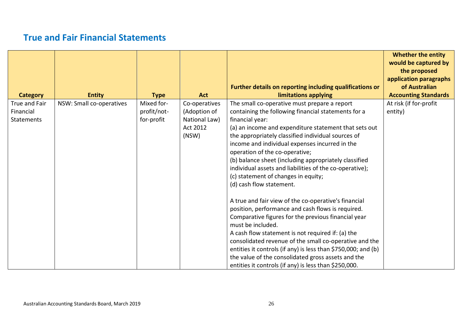## **True and Fair Financial Statements**

<span id="page-25-0"></span>

|                   |                          |             |               |                                                               | <b>Whether the entity</b><br>would be captured by<br>the proposed |
|-------------------|--------------------------|-------------|---------------|---------------------------------------------------------------|-------------------------------------------------------------------|
|                   |                          |             |               |                                                               | application paragraphs                                            |
|                   |                          |             |               | Further details on reporting including qualifications or      | of Australian                                                     |
| <b>Category</b>   | <b>Entity</b>            | <b>Type</b> | <b>Act</b>    | limitations applying                                          | <b>Accounting Standards</b>                                       |
| True and Fair     | NSW: Small co-operatives | Mixed for-  | Co-operatives | The small co-operative must prepare a report                  | At risk (if for-profit                                            |
| Financial         |                          | profit/not- | (Adoption of  | containing the following financial statements for a           | entity)                                                           |
| <b>Statements</b> |                          | for-profit  | National Law) | financial year:                                               |                                                                   |
|                   |                          |             | Act 2012      | (a) an income and expenditure statement that sets out         |                                                                   |
|                   |                          |             | (NSW)         | the appropriately classified individual sources of            |                                                                   |
|                   |                          |             |               | income and individual expenses incurred in the                |                                                                   |
|                   |                          |             |               | operation of the co-operative;                                |                                                                   |
|                   |                          |             |               | (b) balance sheet (including appropriately classified         |                                                                   |
|                   |                          |             |               | individual assets and liabilities of the co-operative);       |                                                                   |
|                   |                          |             |               | (c) statement of changes in equity;                           |                                                                   |
|                   |                          |             |               | (d) cash flow statement.                                      |                                                                   |
|                   |                          |             |               | A true and fair view of the co-operative's financial          |                                                                   |
|                   |                          |             |               | position, performance and cash flows is required.             |                                                                   |
|                   |                          |             |               | Comparative figures for the previous financial year           |                                                                   |
|                   |                          |             |               | must be included.                                             |                                                                   |
|                   |                          |             |               | A cash flow statement is not required if: (a) the             |                                                                   |
|                   |                          |             |               | consolidated revenue of the small co-operative and the        |                                                                   |
|                   |                          |             |               | entities it controls (if any) is less than \$750,000; and (b) |                                                                   |
|                   |                          |             |               | the value of the consolidated gross assets and the            |                                                                   |
|                   |                          |             |               | entities it controls (if any) is less than \$250,000.         |                                                                   |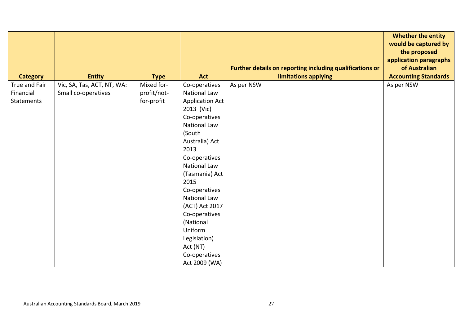|                   |                            |             |                                |                                                          | <b>Whether the entity</b>   |
|-------------------|----------------------------|-------------|--------------------------------|----------------------------------------------------------|-----------------------------|
|                   |                            |             |                                |                                                          | would be captured by        |
|                   |                            |             |                                |                                                          | the proposed                |
|                   |                            |             |                                |                                                          | application paragraphs      |
|                   |                            |             |                                | Further details on reporting including qualifications or | of Australian               |
| <b>Category</b>   | <b>Entity</b>              | <b>Type</b> | <b>Act</b>                     | limitations applying                                     | <b>Accounting Standards</b> |
| True and Fair     | Vic, SA, Tas, ACT, NT, WA: | Mixed for-  | Co-operatives                  | As per NSW                                               | As per NSW                  |
| Financial         | Small co-operatives        | profit/not- | <b>National Law</b>            |                                                          |                             |
| <b>Statements</b> |                            | for-profit  | <b>Application Act</b>         |                                                          |                             |
|                   |                            |             | 2013 (Vic)                     |                                                          |                             |
|                   |                            |             | Co-operatives                  |                                                          |                             |
|                   |                            |             | <b>National Law</b>            |                                                          |                             |
|                   |                            |             | (South                         |                                                          |                             |
|                   |                            |             | Australia) Act                 |                                                          |                             |
|                   |                            |             | 2013                           |                                                          |                             |
|                   |                            |             | Co-operatives                  |                                                          |                             |
|                   |                            |             | National Law<br>(Tasmania) Act |                                                          |                             |
|                   |                            |             | 2015                           |                                                          |                             |
|                   |                            |             | Co-operatives                  |                                                          |                             |
|                   |                            |             | National Law                   |                                                          |                             |
|                   |                            |             | (ACT) Act 2017                 |                                                          |                             |
|                   |                            |             | Co-operatives                  |                                                          |                             |
|                   |                            |             | (National                      |                                                          |                             |
|                   |                            |             | Uniform                        |                                                          |                             |
|                   |                            |             | Legislation)                   |                                                          |                             |
|                   |                            |             | Act (NT)                       |                                                          |                             |
|                   |                            |             | Co-operatives                  |                                                          |                             |
|                   |                            |             | Act 2009 (WA)                  |                                                          |                             |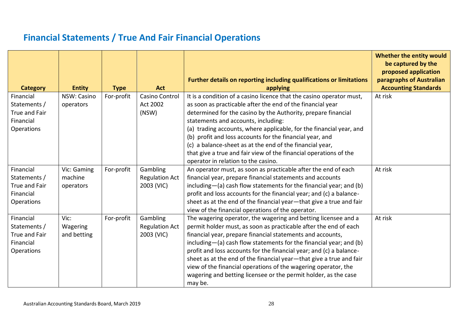# **Financial Statements / True And Fair Financial Operations**

<span id="page-27-0"></span>

| <b>Category</b>                                                       | <b>Entity</b>                       | <b>Type</b> | <b>Act</b>                                      | <b>Further details on reporting including qualifications or limitations</b><br>applying                                                                                                                                                                                                                                                                                                                                                                                                                                                                              | Whether the entity would<br>be captured by the<br>proposed application<br>paragraphs of Australian<br><b>Accounting Standards</b> |
|-----------------------------------------------------------------------|-------------------------------------|-------------|-------------------------------------------------|----------------------------------------------------------------------------------------------------------------------------------------------------------------------------------------------------------------------------------------------------------------------------------------------------------------------------------------------------------------------------------------------------------------------------------------------------------------------------------------------------------------------------------------------------------------------|-----------------------------------------------------------------------------------------------------------------------------------|
| Financial<br>Statements /<br>True and Fair<br>Financial<br>Operations | NSW: Casino<br>operators            | For-profit  | Casino Control<br>Act 2002<br>(NSW)             | It is a condition of a casino licence that the casino operator must,<br>as soon as practicable after the end of the financial year<br>determined for the casino by the Authority, prepare financial<br>statements and accounts, including:<br>(a) trading accounts, where applicable, for the financial year, and<br>(b) profit and loss accounts for the financial year, and<br>(c) a balance-sheet as at the end of the financial year,<br>that give a true and fair view of the financial operations of the<br>operator in relation to the casino.                | At risk                                                                                                                           |
| Financial<br>Statements /<br>True and Fair<br>Financial<br>Operations | Vic: Gaming<br>machine<br>operators | For-profit  | Gambling<br><b>Regulation Act</b><br>2003 (VIC) | An operator must, as soon as practicable after the end of each<br>financial year, prepare financial statements and accounts<br>including-(a) cash flow statements for the financial year; and (b)<br>profit and loss accounts for the financial year; and (c) a balance-<br>sheet as at the end of the financial year-that give a true and fair<br>view of the financial operations of the operator.                                                                                                                                                                 | At risk                                                                                                                           |
| Financial<br>Statements /<br>True and Fair<br>Financial<br>Operations | Vic:<br>Wagering<br>and betting     | For-profit  | Gambling<br><b>Regulation Act</b><br>2003 (VIC) | The wagering operator, the wagering and betting licensee and a<br>permit holder must, as soon as practicable after the end of each<br>financial year, prepare financial statements and accounts,<br>including-(a) cash flow statements for the financial year; and (b)<br>profit and loss accounts for the financial year; and (c) a balance-<br>sheet as at the end of the financial year-that give a true and fair<br>view of the financial operations of the wagering operator, the<br>wagering and betting licensee or the permit holder, as the case<br>may be. | At risk                                                                                                                           |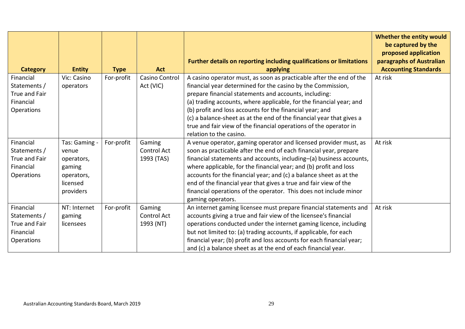| <b>Category</b>                                                              | <b>Entity</b>                                                                         | <b>Type</b> | <b>Act</b>                          | Further details on reporting including qualifications or limitations<br>applying                                                                                                                                                                                                                                                                                                                                                                                                                                      | Whether the entity would<br>be captured by the<br>proposed application<br>paragraphs of Australian<br><b>Accounting Standards</b> |
|------------------------------------------------------------------------------|---------------------------------------------------------------------------------------|-------------|-------------------------------------|-----------------------------------------------------------------------------------------------------------------------------------------------------------------------------------------------------------------------------------------------------------------------------------------------------------------------------------------------------------------------------------------------------------------------------------------------------------------------------------------------------------------------|-----------------------------------------------------------------------------------------------------------------------------------|
| Financial<br>Statements /<br>True and Fair<br>Financial<br>Operations        | Vic: Casino<br>operators                                                              | For-profit  | <b>Casino Control</b><br>Act (VIC)  | A casino operator must, as soon as practicable after the end of the<br>financial year determined for the casino by the Commission,<br>prepare financial statements and accounts, including:<br>(a) trading accounts, where applicable, for the financial year; and<br>(b) profit and loss accounts for the financial year; and<br>(c) a balance-sheet as at the end of the financial year that gives a<br>true and fair view of the financial operations of the operator in<br>relation to the casino.                | At risk                                                                                                                           |
| Financial<br>Statements /<br>True and Fair<br>Financial<br>Operations        | Tas: Gaming -<br>venue<br>operators,<br>gaming<br>operators,<br>licensed<br>providers | For-profit  | Gaming<br>Control Act<br>1993 (TAS) | A venue operator, gaming operator and licensed provider must, as<br>soon as practicable after the end of each financial year, prepare<br>financial statements and accounts, including-(a) business accounts,<br>where applicable, for the financial year; and (b) profit and loss<br>accounts for the financial year; and (c) a balance sheet as at the<br>end of the financial year that gives a true and fair view of the<br>financial operations of the operator. This does not include minor<br>gaming operators. | At risk                                                                                                                           |
| Financial<br>Statements /<br>True and Fair<br>Financial<br><b>Operations</b> | NT: Internet<br>gaming<br>licensees                                                   | For-profit  | Gaming<br>Control Act<br>1993 (NT)  | An internet gaming licensee must prepare financial statements and<br>accounts giving a true and fair view of the licensee's financial<br>operations conducted under the internet gaming licence, including<br>but not limited to: (a) trading accounts, if applicable, for each<br>financial year; (b) profit and loss accounts for each financial year;<br>and (c) a balance sheet as at the end of each financial year.                                                                                             | At risk                                                                                                                           |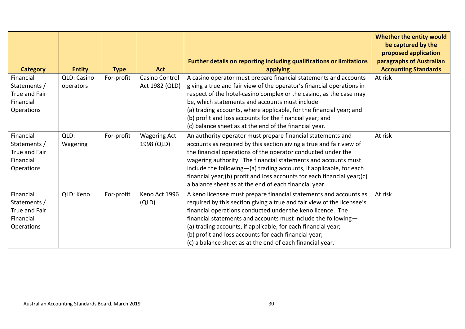| <b>Category</b>                                                              | <b>Entity</b>            | <b>Type</b> | <b>Act</b>                        | Further details on reporting including qualifications or limitations<br>applying                                                                                                                                                                                                                                                                                                                                                                                                | Whether the entity would<br>be captured by the<br>proposed application<br>paragraphs of Australian<br><b>Accounting Standards</b> |
|------------------------------------------------------------------------------|--------------------------|-------------|-----------------------------------|---------------------------------------------------------------------------------------------------------------------------------------------------------------------------------------------------------------------------------------------------------------------------------------------------------------------------------------------------------------------------------------------------------------------------------------------------------------------------------|-----------------------------------------------------------------------------------------------------------------------------------|
| Financial<br>Statements /<br>True and Fair<br>Financial<br><b>Operations</b> | QLD: Casino<br>operators | For-profit  | Casino Control<br>Act 1982 (QLD)  | A casino operator must prepare financial statements and accounts<br>giving a true and fair view of the operator's financial operations in<br>respect of the hotel-casino complex or the casino, as the case may<br>be, which statements and accounts must include-<br>(a) trading accounts, where applicable, for the financial year; and<br>(b) profit and loss accounts for the financial year; and<br>(c) balance sheet as at the end of the financial year.                 | At risk                                                                                                                           |
| Financial<br>Statements /<br>True and Fair<br>Financial<br>Operations        | QLD:<br>Wagering         | For-profit  | <b>Wagering Act</b><br>1998 (QLD) | An authority operator must prepare financial statements and<br>accounts as required by this section giving a true and fair view of<br>the financial operations of the operator conducted under the<br>wagering authority. The financial statements and accounts must<br>include the following-(a) trading accounts, if applicable, for each<br>financial year;(b) profit and loss accounts for each financial year;(c)<br>a balance sheet as at the end of each financial year. | At risk                                                                                                                           |
| Financial<br>Statements /<br>True and Fair<br>Financial<br><b>Operations</b> | QLD: Keno                | For-profit  | Keno Act 1996<br>(QLD)            | A keno licensee must prepare financial statements and accounts as<br>required by this section giving a true and fair view of the licensee's<br>financial operations conducted under the keno licence. The<br>financial statements and accounts must include the following-<br>(a) trading accounts, if applicable, for each financial year;<br>(b) profit and loss accounts for each financial year;<br>(c) a balance sheet as at the end of each financial year.               | At risk                                                                                                                           |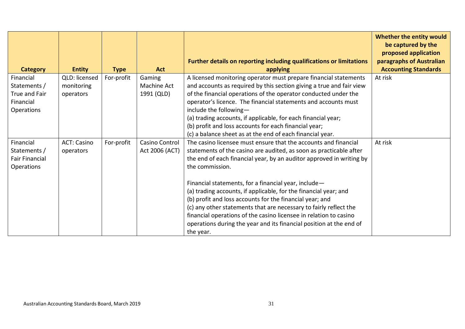| <b>Category</b>                                                       | <b>Entity</b>                            | <b>Type</b> | <b>Act</b>                          | Further details on reporting including qualifications or limitations<br>applying                                                                                                                                                                                                                                                                                                                                                                                                                                                                                                                                                                       | Whether the entity would<br>be captured by the<br>proposed application<br>paragraphs of Australian<br><b>Accounting Standards</b> |
|-----------------------------------------------------------------------|------------------------------------------|-------------|-------------------------------------|--------------------------------------------------------------------------------------------------------------------------------------------------------------------------------------------------------------------------------------------------------------------------------------------------------------------------------------------------------------------------------------------------------------------------------------------------------------------------------------------------------------------------------------------------------------------------------------------------------------------------------------------------------|-----------------------------------------------------------------------------------------------------------------------------------|
| Financial<br>Statements /<br>True and Fair<br>Financial<br>Operations | QLD: licensed<br>monitoring<br>operators | For-profit  | Gaming<br>Machine Act<br>1991 (QLD) | A licensed monitoring operator must prepare financial statements<br>and accounts as required by this section giving a true and fair view<br>of the financial operations of the operator conducted under the<br>operator's licence. The financial statements and accounts must<br>include the following-<br>(a) trading accounts, if applicable, for each financial year;<br>(b) profit and loss accounts for each financial year;<br>(c) a balance sheet as at the end of each financial year.                                                                                                                                                         | At risk                                                                                                                           |
| Financial<br>Statements /<br><b>Fair Financial</b><br>Operations      | <b>ACT: Casino</b><br>operators          | For-profit  | Casino Control<br>Act 2006 (ACT)    | The casino licensee must ensure that the accounts and financial<br>statements of the casino are audited, as soon as practicable after<br>the end of each financial year, by an auditor approved in writing by<br>the commission.<br>Financial statements, for a financial year, include-<br>(a) trading accounts, if applicable, for the financial year; and<br>(b) profit and loss accounts for the financial year; and<br>(c) any other statements that are necessary to fairly reflect the<br>financial operations of the casino licensee in relation to casino<br>operations during the year and its financial position at the end of<br>the year. | At risk                                                                                                                           |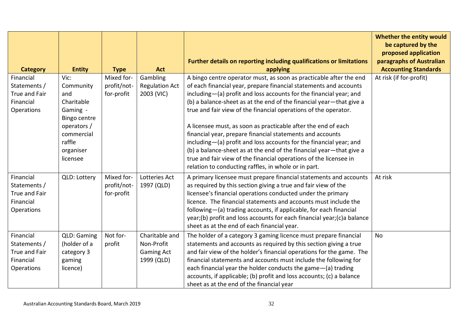| <b>Category</b>                                                       | <b>Entity</b>                                                                                                                      | <b>Type</b>                             | <b>Act</b>                                                      | Further details on reporting including qualifications or limitations<br>applying                                                                                                                                                                                                                                                                                                                                                                                                                                                                                                                                                                                                                                                                                | Whether the entity would<br>be captured by the<br>proposed application<br>paragraphs of Australian<br><b>Accounting Standards</b> |
|-----------------------------------------------------------------------|------------------------------------------------------------------------------------------------------------------------------------|-----------------------------------------|-----------------------------------------------------------------|-----------------------------------------------------------------------------------------------------------------------------------------------------------------------------------------------------------------------------------------------------------------------------------------------------------------------------------------------------------------------------------------------------------------------------------------------------------------------------------------------------------------------------------------------------------------------------------------------------------------------------------------------------------------------------------------------------------------------------------------------------------------|-----------------------------------------------------------------------------------------------------------------------------------|
| Financial<br>Statements /<br>True and Fair<br>Financial<br>Operations | Vic:<br>Community<br>and<br>Charitable<br>Gaming -<br>Bingo centre<br>operators /<br>commercial<br>raffle<br>organiser<br>licensee | Mixed for-<br>profit/not-<br>for-profit | Gambling<br><b>Regulation Act</b><br>2003 (VIC)                 | A bingo centre operator must, as soon as practicable after the end<br>of each financial year, prepare financial statements and accounts<br>including-(a) profit and loss accounts for the financial year; and<br>(b) a balance-sheet as at the end of the financial year-that give a<br>true and fair view of the financial operations of the operator.<br>A licensee must, as soon as practicable after the end of each<br>financial year, prepare financial statements and accounts<br>including-(a) profit and loss accounts for the financial year; and<br>(b) a balance-sheet as at the end of the financial year-that give a<br>true and fair view of the financial operations of the licensee in<br>relation to conducting raffles, in whole or in part. | At risk (if for-profit)                                                                                                           |
| Financial<br>Statements /<br>True and Fair<br>Financial<br>Operations | QLD: Lottery                                                                                                                       | Mixed for-<br>profit/not-<br>for-profit | Lotteries Act<br>1997 (QLD)                                     | A primary licensee must prepare financial statements and accounts<br>as required by this section giving a true and fair view of the<br>licensee's financial operations conducted under the primary<br>licence. The financial statements and accounts must include the<br>following-(a) trading accounts, if applicable, for each financial<br>year;(b) profit and loss accounts for each financial year;(c)a balance<br>sheet as at the end of each financial year.                                                                                                                                                                                                                                                                                             | At risk                                                                                                                           |
| Financial<br>Statements /<br>True and Fair<br>Financial<br>Operations | QLD: Gaming<br>(holder of a<br>category 3<br>gaming<br>licence)                                                                    | Not for-<br>profit                      | Charitable and<br>Non-Profit<br><b>Gaming Act</b><br>1999 (QLD) | The holder of a category 3 gaming licence must prepare financial<br>statements and accounts as required by this section giving a true<br>and fair view of the holder's financial operations for the game. The<br>financial statements and accounts must include the following for<br>each financial year the holder conducts the game-(a) trading<br>accounts, if applicable; (b) profit and loss accounts; (c) a balance<br>sheet as at the end of the financial year                                                                                                                                                                                                                                                                                          | <b>No</b>                                                                                                                         |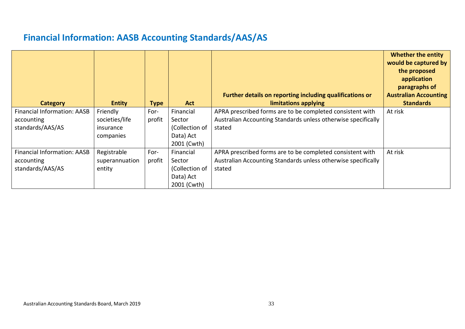# **Financial Information: AASB Accounting Standards/AAS/AS**

<span id="page-32-0"></span>

| <b>Category</b>                | <b>Entity</b>  | <b>Type</b> | <b>Act</b>               | Further details on reporting including qualifications or<br>limitations applying | <b>Whether the entity</b><br>would be captured by<br>the proposed<br>application<br>paragraphs of<br><b>Australian Accounting</b><br><b>Standards</b> |
|--------------------------------|----------------|-------------|--------------------------|----------------------------------------------------------------------------------|-------------------------------------------------------------------------------------------------------------------------------------------------------|
| Financial Information: AASB    | Friendly       | For-        | Financial                | APRA prescribed forms are to be completed consistent with                        | At risk                                                                                                                                               |
| accounting<br>standards/AAS/AS | societies/life | profit      | Sector<br>(Collection of | Australian Accounting Standards unless otherwise specifically<br>stated          |                                                                                                                                                       |
|                                | insurance      |             |                          |                                                                                  |                                                                                                                                                       |
|                                | companies      |             | Data) Act<br>2001 (Cwth) |                                                                                  |                                                                                                                                                       |
| Financial Information: AASB    | Registrable    | For-        | Financial                | APRA prescribed forms are to be completed consistent with                        | At risk                                                                                                                                               |
| accounting                     | superannuation | profit      | Sector                   | Australian Accounting Standards unless otherwise specifically                    |                                                                                                                                                       |
| standards/AAS/AS               | entity         |             | (Collection of           | stated                                                                           |                                                                                                                                                       |
|                                |                |             | Data) Act                |                                                                                  |                                                                                                                                                       |
|                                |                |             | 2001 (Cwth)              |                                                                                  |                                                                                                                                                       |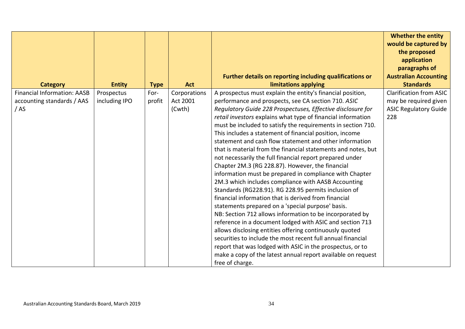|                                    |               |             |              |                                                                                                                                              | <b>Whether the entity</b><br>would be captured by<br>the proposed |
|------------------------------------|---------------|-------------|--------------|----------------------------------------------------------------------------------------------------------------------------------------------|-------------------------------------------------------------------|
|                                    |               |             |              |                                                                                                                                              | application<br>paragraphs of                                      |
|                                    |               |             |              | Further details on reporting including qualifications or                                                                                     | <b>Australian Accounting</b>                                      |
| <b>Category</b>                    | <b>Entity</b> | <b>Type</b> | <b>Act</b>   | limitations applying                                                                                                                         | <b>Standards</b>                                                  |
| <b>Financial Information: AASB</b> | Prospectus    | For-        | Corporations | A prospectus must explain the entity's financial position,                                                                                   | <b>Clarification from ASIC</b>                                    |
| accounting standards / AAS         | including IPO | profit      | Act 2001     | performance and prospects, see CA section 710. ASIC                                                                                          | may be required given                                             |
| /AS                                |               |             | (Cwth)       | Regulatory Guide 228 Prospectuses, Effective disclosure for                                                                                  | <b>ASIC Regulatory Guide</b>                                      |
|                                    |               |             |              | retail investors explains what type of financial information                                                                                 | 228                                                               |
|                                    |               |             |              | must be included to satisfy the requirements in section 710.                                                                                 |                                                                   |
|                                    |               |             |              | This includes a statement of financial position, income                                                                                      |                                                                   |
|                                    |               |             |              | statement and cash flow statement and other information                                                                                      |                                                                   |
|                                    |               |             |              | that is material from the financial statements and notes, but                                                                                |                                                                   |
|                                    |               |             |              | not necessarily the full financial report prepared under                                                                                     |                                                                   |
|                                    |               |             |              | Chapter 2M.3 (RG 228.87). However, the financial                                                                                             |                                                                   |
|                                    |               |             |              | information must be prepared in compliance with Chapter                                                                                      |                                                                   |
|                                    |               |             |              | 2M.3 which includes compliance with AASB Accounting                                                                                          |                                                                   |
|                                    |               |             |              | Standards (RG228.91). RG 228.95 permits inclusion of                                                                                         |                                                                   |
|                                    |               |             |              | financial information that is derived from financial                                                                                         |                                                                   |
|                                    |               |             |              | statements prepared on a 'special purpose' basis.                                                                                            |                                                                   |
|                                    |               |             |              | NB: Section 712 allows information to be incorporated by                                                                                     |                                                                   |
|                                    |               |             |              | reference in a document lodged with ASIC and section 713                                                                                     |                                                                   |
|                                    |               |             |              | allows disclosing entities offering continuously quoted<br>securities to include the most recent full annual financial                       |                                                                   |
|                                    |               |             |              |                                                                                                                                              |                                                                   |
|                                    |               |             |              |                                                                                                                                              |                                                                   |
|                                    |               |             |              |                                                                                                                                              |                                                                   |
|                                    |               |             |              | report that was lodged with ASIC in the prospectus, or to<br>make a copy of the latest annual report available on request<br>free of charge. |                                                                   |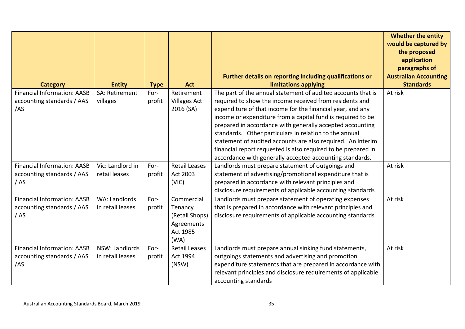|                                    |                       |             |                      |                                                                                                               | <b>Whether the entity</b><br>would be captured by<br>the proposed<br>application |
|------------------------------------|-----------------------|-------------|----------------------|---------------------------------------------------------------------------------------------------------------|----------------------------------------------------------------------------------|
|                                    |                       |             |                      |                                                                                                               | paragraphs of                                                                    |
|                                    |                       |             |                      | Further details on reporting including qualifications or                                                      | <b>Australian Accounting</b>                                                     |
| <b>Category</b>                    | <b>Entity</b>         | <b>Type</b> | <b>Act</b>           | limitations applying                                                                                          | <b>Standards</b>                                                                 |
| <b>Financial Information: AASB</b> | <b>SA: Retirement</b> | For-        | Retirement           | The part of the annual statement of audited accounts that is                                                  | At risk                                                                          |
| accounting standards / AAS         | villages              | profit      | <b>Villages Act</b>  | required to show the income received from residents and                                                       |                                                                                  |
| /AS                                |                       |             | 2016 (SA)            | expenditure of that income for the financial year, and any                                                    |                                                                                  |
|                                    |                       |             |                      | income or expenditure from a capital fund is required to be                                                   |                                                                                  |
|                                    |                       |             |                      | prepared in accordance with generally accepted accounting                                                     |                                                                                  |
|                                    |                       |             |                      | standards. Other particulars in relation to the annual                                                        |                                                                                  |
|                                    |                       |             |                      | statement of audited accounts are also required. An interim                                                   |                                                                                  |
|                                    |                       |             |                      | financial report requested is also required to be prepared in                                                 |                                                                                  |
| <b>Financial Information: AASB</b> | Vic: Landlord in      | For-        | <b>Retail Leases</b> | accordance with generally accepted accounting standards.<br>Landlords must prepare statement of outgoings and | At risk                                                                          |
| accounting standards / AAS         | retail leases         | profit      | Act 2003             | statement of advertising/promotional expenditure that is                                                      |                                                                                  |
| / AS                               |                       |             | (VIC)                | prepared in accordance with relevant principles and                                                           |                                                                                  |
|                                    |                       |             |                      | disclosure requirements of applicable accounting standards                                                    |                                                                                  |
| <b>Financial Information: AASB</b> | WA: Landlords         | For-        | Commercial           | Landlords must prepare statement of operating expenses                                                        | At risk                                                                          |
| accounting standards / AAS         | in retail leases      | profit      | Tenancy              | that is prepared in accordance with relevant principles and                                                   |                                                                                  |
| /AS                                |                       |             | (Retail Shops)       | disclosure requirements of applicable accounting standards                                                    |                                                                                  |
|                                    |                       |             | Agreements           |                                                                                                               |                                                                                  |
|                                    |                       |             | Act 1985             |                                                                                                               |                                                                                  |
|                                    |                       |             | (WA)                 |                                                                                                               |                                                                                  |
| <b>Financial Information: AASB</b> | NSW: Landlords        | For-        | <b>Retail Leases</b> | Landlords must prepare annual sinking fund statements,                                                        | At risk                                                                          |
| accounting standards / AAS         | in retail leases      | profit      | Act 1994             | outgoings statements and advertising and promotion                                                            |                                                                                  |
| /AS                                |                       |             | (NSW)                | expenditure statements that are prepared in accordance with                                                   |                                                                                  |
|                                    |                       |             |                      | relevant principles and disclosure requirements of applicable                                                 |                                                                                  |
|                                    |                       |             |                      | accounting standards                                                                                          |                                                                                  |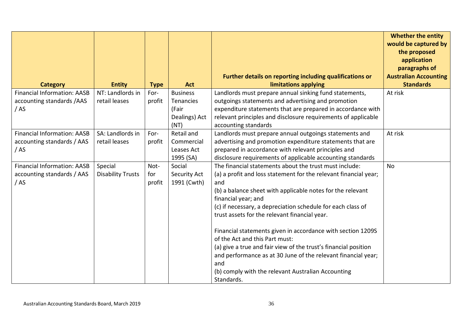|                                    |                          |             |                  |                                                                  | <b>Whether the entity</b><br>would be captured by<br>the proposed |
|------------------------------------|--------------------------|-------------|------------------|------------------------------------------------------------------|-------------------------------------------------------------------|
|                                    |                          |             |                  |                                                                  | application                                                       |
|                                    |                          |             |                  | Further details on reporting including qualifications or         | paragraphs of<br><b>Australian Accounting</b>                     |
| <b>Category</b>                    | <b>Entity</b>            | <b>Type</b> | <b>Act</b>       | limitations applying                                             | <b>Standards</b>                                                  |
| <b>Financial Information: AASB</b> | NT: Landlords in         | For-        | <b>Business</b>  | Landlords must prepare annual sinking fund statements,           | At risk                                                           |
| accounting standards /AAS          | retail leases            | profit      | <b>Tenancies</b> | outgoings statements and advertising and promotion               |                                                                   |
| /AS                                |                          |             | (Fair            | expenditure statements that are prepared in accordance with      |                                                                   |
|                                    |                          |             | Dealings) Act    | relevant principles and disclosure requirements of applicable    |                                                                   |
|                                    |                          |             | (NT)             | accounting standards                                             |                                                                   |
| <b>Financial Information: AASB</b> | SA: Landlords in         | For-        | Retail and       | Landlords must prepare annual outgoings statements and           | At risk                                                           |
| accounting standards / AAS         | retail leases            | profit      | Commercial       | advertising and promotion expenditure statements that are        |                                                                   |
| /AS                                |                          |             | Leases Act       | prepared in accordance with relevant principles and              |                                                                   |
|                                    |                          |             | 1995 (SA)        | disclosure requirements of applicable accounting standards       |                                                                   |
| <b>Financial Information: AASB</b> | Special                  | Not-        | Social           | The financial statements about the trust must include:           | <b>No</b>                                                         |
| accounting standards / AAS         | <b>Disability Trusts</b> | for         | Security Act     | (a) a profit and loss statement for the relevant financial year; |                                                                   |
| /AS                                |                          | profit      | 1991 (Cwth)      | and                                                              |                                                                   |
|                                    |                          |             |                  | (b) a balance sheet with applicable notes for the relevant       |                                                                   |
|                                    |                          |             |                  | financial year; and                                              |                                                                   |
|                                    |                          |             |                  | (c) if necessary, a depreciation schedule for each class of      |                                                                   |
|                                    |                          |             |                  | trust assets for the relevant financial year.                    |                                                                   |
|                                    |                          |             |                  | Financial statements given in accordance with section 1209S      |                                                                   |
|                                    |                          |             |                  | of the Act and this Part must:                                   |                                                                   |
|                                    |                          |             |                  | (a) give a true and fair view of the trust's financial position  |                                                                   |
|                                    |                          |             |                  | and performance as at 30 June of the relevant financial year;    |                                                                   |
|                                    |                          |             |                  | and                                                              |                                                                   |
|                                    |                          |             |                  | (b) comply with the relevant Australian Accounting               |                                                                   |
|                                    |                          |             |                  | Standards.                                                       |                                                                   |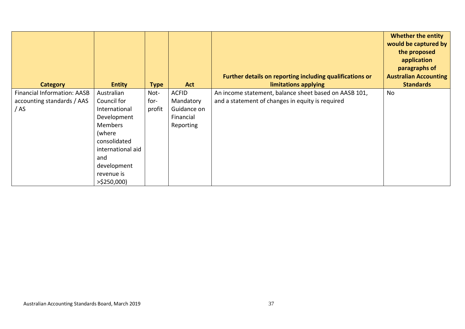| <b>Category</b>                    | <b>Entity</b>     | <b>Type</b> | <b>Act</b>   | Further details on reporting including qualifications or<br>limitations applying | <b>Whether the entity</b><br>would be captured by<br>the proposed<br>application<br>paragraphs of<br><b>Australian Accounting</b><br><b>Standards</b> |
|------------------------------------|-------------------|-------------|--------------|----------------------------------------------------------------------------------|-------------------------------------------------------------------------------------------------------------------------------------------------------|
| <b>Financial Information: AASB</b> | Australian        | Not-        | <b>ACFID</b> | An income statement, balance sheet based on AASB 101,                            | No                                                                                                                                                    |
| accounting standards / AAS         | Council for       | for-        | Mandatory    | and a statement of changes in equity is required                                 |                                                                                                                                                       |
| / AS                               | International     | profit      | Guidance on  |                                                                                  |                                                                                                                                                       |
|                                    | Development       |             | Financial    |                                                                                  |                                                                                                                                                       |
|                                    | <b>Members</b>    |             | Reporting    |                                                                                  |                                                                                                                                                       |
|                                    | (where            |             |              |                                                                                  |                                                                                                                                                       |
|                                    | consolidated      |             |              |                                                                                  |                                                                                                                                                       |
|                                    | international aid |             |              |                                                                                  |                                                                                                                                                       |
|                                    | and               |             |              |                                                                                  |                                                                                                                                                       |
|                                    | development       |             |              |                                                                                  |                                                                                                                                                       |
|                                    | revenue is        |             |              |                                                                                  |                                                                                                                                                       |
|                                    | $>$ \$250,000)    |             |              |                                                                                  |                                                                                                                                                       |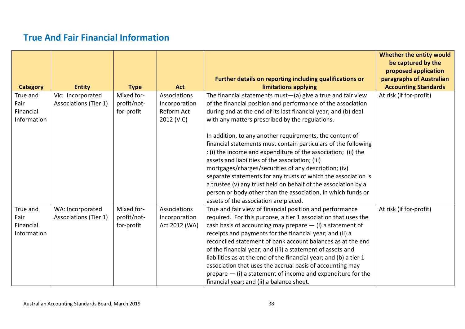# **True And Fair Financial Information**

<span id="page-37-0"></span>

|                 |                              |             |               |                                                                                                       | Whether the entity would<br>be captured by the   |
|-----------------|------------------------------|-------------|---------------|-------------------------------------------------------------------------------------------------------|--------------------------------------------------|
|                 |                              |             |               | <b>Further details on reporting including qualifications or</b>                                       | proposed application<br>paragraphs of Australian |
| <b>Category</b> | <b>Entity</b>                | <b>Type</b> | <b>Act</b>    | limitations applying                                                                                  | <b>Accounting Standards</b>                      |
| True and        | Vic: Incorporated            | Mixed for-  | Associations  | The financial statements must $-(a)$ give a true and fair view                                        | At risk (if for-profit)                          |
| Fair            | <b>Associations (Tier 1)</b> | profit/not- | Incorporation | of the financial position and performance of the association                                          |                                                  |
| Financial       |                              | for-profit  | Reform Act    | during and at the end of its last financial year; and (b) deal                                        |                                                  |
| Information     |                              |             | 2012 (VIC)    | with any matters prescribed by the regulations.                                                       |                                                  |
|                 |                              |             |               |                                                                                                       |                                                  |
|                 |                              |             |               | In addition, to any another requirements, the content of                                              |                                                  |
|                 |                              |             |               | financial statements must contain particulars of the following                                        |                                                  |
|                 |                              |             |               | : (i) the income and expenditure of the association; (ii) the                                         |                                                  |
|                 |                              |             |               | assets and liabilities of the association; (iii)                                                      |                                                  |
|                 |                              |             |               | mortgages/charges/securities of any description; (iv)                                                 |                                                  |
|                 |                              |             |               | separate statements for any trusts of which the association is                                        |                                                  |
|                 |                              |             |               | a trustee (v) any trust held on behalf of the association by a                                        |                                                  |
|                 |                              |             |               | person or body other than the association, in which funds or<br>assets of the association are placed. |                                                  |
| True and        | WA: Incorporated             | Mixed for-  | Associations  | True and fair view of financial position and performance                                              | At risk (if for-profit)                          |
| Fair            | <b>Associations (Tier 1)</b> | profit/not- | Incorporation | required. For this purpose, a tier 1 association that uses the                                        |                                                  |
| Financial       |                              | for-profit  | Act 2012 (WA) | cash basis of accounting may prepare $-$ (i) a statement of                                           |                                                  |
| Information     |                              |             |               | receipts and payments for the financial year; and (ii) a                                              |                                                  |
|                 |                              |             |               | reconciled statement of bank account balances as at the end                                           |                                                  |
|                 |                              |             |               | of the financial year; and (iii) a statement of assets and                                            |                                                  |
|                 |                              |             |               | liabilities as at the end of the financial year; and (b) a tier 1                                     |                                                  |
|                 |                              |             |               | association that uses the accrual basis of accounting may                                             |                                                  |
|                 |                              |             |               | prepare $-$ (i) a statement of income and expenditure for the                                         |                                                  |
|                 |                              |             |               | financial year; and (ii) a balance sheet.                                                             |                                                  |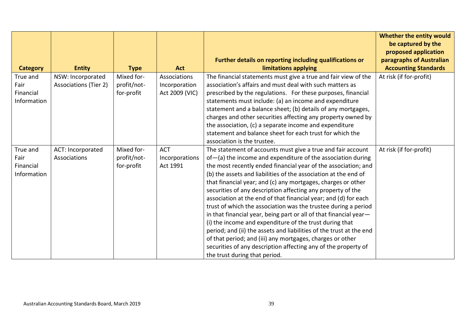| <b>Entity</b>                | <b>Type</b>                       | <b>Act</b>                              | Further details on reporting including qualifications or<br>limitations applying | Whether the entity would<br>be captured by the<br>proposed application<br>paragraphs of Australian<br><b>Accounting Standards</b>                                                                                                                                                                                                                                                                                                                                                                                                                                                                                                                                                                                                                                                                                                                                                                                                                                                                                                                                                                                               |
|------------------------------|-----------------------------------|-----------------------------------------|----------------------------------------------------------------------------------|---------------------------------------------------------------------------------------------------------------------------------------------------------------------------------------------------------------------------------------------------------------------------------------------------------------------------------------------------------------------------------------------------------------------------------------------------------------------------------------------------------------------------------------------------------------------------------------------------------------------------------------------------------------------------------------------------------------------------------------------------------------------------------------------------------------------------------------------------------------------------------------------------------------------------------------------------------------------------------------------------------------------------------------------------------------------------------------------------------------------------------|
| NSW: Incorporated            | Mixed for-                        | Associations                            | The financial statements must give a true and fair view of the                   | At risk (if for-profit)                                                                                                                                                                                                                                                                                                                                                                                                                                                                                                                                                                                                                                                                                                                                                                                                                                                                                                                                                                                                                                                                                                         |
| <b>Associations (Tier 2)</b> | profit/not-                       | Incorporation                           | association's affairs and must deal with such matters as                         |                                                                                                                                                                                                                                                                                                                                                                                                                                                                                                                                                                                                                                                                                                                                                                                                                                                                                                                                                                                                                                                                                                                                 |
|                              | for-profit                        | Act 2009 (VIC)                          | prescribed by the regulations. For these purposes, financial                     |                                                                                                                                                                                                                                                                                                                                                                                                                                                                                                                                                                                                                                                                                                                                                                                                                                                                                                                                                                                                                                                                                                                                 |
|                              |                                   |                                         | statements must include: (a) an income and expenditure                           |                                                                                                                                                                                                                                                                                                                                                                                                                                                                                                                                                                                                                                                                                                                                                                                                                                                                                                                                                                                                                                                                                                                                 |
|                              |                                   |                                         | statement and a balance sheet; (b) details of any mortgages,                     |                                                                                                                                                                                                                                                                                                                                                                                                                                                                                                                                                                                                                                                                                                                                                                                                                                                                                                                                                                                                                                                                                                                                 |
|                              |                                   |                                         |                                                                                  |                                                                                                                                                                                                                                                                                                                                                                                                                                                                                                                                                                                                                                                                                                                                                                                                                                                                                                                                                                                                                                                                                                                                 |
|                              |                                   |                                         |                                                                                  |                                                                                                                                                                                                                                                                                                                                                                                                                                                                                                                                                                                                                                                                                                                                                                                                                                                                                                                                                                                                                                                                                                                                 |
|                              |                                   |                                         |                                                                                  |                                                                                                                                                                                                                                                                                                                                                                                                                                                                                                                                                                                                                                                                                                                                                                                                                                                                                                                                                                                                                                                                                                                                 |
|                              |                                   |                                         |                                                                                  |                                                                                                                                                                                                                                                                                                                                                                                                                                                                                                                                                                                                                                                                                                                                                                                                                                                                                                                                                                                                                                                                                                                                 |
|                              |                                   |                                         |                                                                                  | At risk (if for-profit)                                                                                                                                                                                                                                                                                                                                                                                                                                                                                                                                                                                                                                                                                                                                                                                                                                                                                                                                                                                                                                                                                                         |
|                              |                                   |                                         |                                                                                  |                                                                                                                                                                                                                                                                                                                                                                                                                                                                                                                                                                                                                                                                                                                                                                                                                                                                                                                                                                                                                                                                                                                                 |
|                              |                                   |                                         |                                                                                  |                                                                                                                                                                                                                                                                                                                                                                                                                                                                                                                                                                                                                                                                                                                                                                                                                                                                                                                                                                                                                                                                                                                                 |
|                              |                                   |                                         |                                                                                  |                                                                                                                                                                                                                                                                                                                                                                                                                                                                                                                                                                                                                                                                                                                                                                                                                                                                                                                                                                                                                                                                                                                                 |
|                              |                                   |                                         |                                                                                  |                                                                                                                                                                                                                                                                                                                                                                                                                                                                                                                                                                                                                                                                                                                                                                                                                                                                                                                                                                                                                                                                                                                                 |
|                              |                                   |                                         |                                                                                  |                                                                                                                                                                                                                                                                                                                                                                                                                                                                                                                                                                                                                                                                                                                                                                                                                                                                                                                                                                                                                                                                                                                                 |
|                              |                                   |                                         |                                                                                  |                                                                                                                                                                                                                                                                                                                                                                                                                                                                                                                                                                                                                                                                                                                                                                                                                                                                                                                                                                                                                                                                                                                                 |
|                              |                                   |                                         |                                                                                  |                                                                                                                                                                                                                                                                                                                                                                                                                                                                                                                                                                                                                                                                                                                                                                                                                                                                                                                                                                                                                                                                                                                                 |
|                              |                                   |                                         |                                                                                  |                                                                                                                                                                                                                                                                                                                                                                                                                                                                                                                                                                                                                                                                                                                                                                                                                                                                                                                                                                                                                                                                                                                                 |
|                              |                                   |                                         |                                                                                  |                                                                                                                                                                                                                                                                                                                                                                                                                                                                                                                                                                                                                                                                                                                                                                                                                                                                                                                                                                                                                                                                                                                                 |
|                              |                                   |                                         |                                                                                  |                                                                                                                                                                                                                                                                                                                                                                                                                                                                                                                                                                                                                                                                                                                                                                                                                                                                                                                                                                                                                                                                                                                                 |
|                              |                                   |                                         |                                                                                  |                                                                                                                                                                                                                                                                                                                                                                                                                                                                                                                                                                                                                                                                                                                                                                                                                                                                                                                                                                                                                                                                                                                                 |
|                              |                                   |                                         |                                                                                  |                                                                                                                                                                                                                                                                                                                                                                                                                                                                                                                                                                                                                                                                                                                                                                                                                                                                                                                                                                                                                                                                                                                                 |
|                              | ACT: Incorporated<br>Associations | Mixed for-<br>profit/not-<br>for-profit | <b>ACT</b><br>Incorporations<br>Act 1991                                         | charges and other securities affecting any property owned by<br>the association, (c) a separate income and expenditure<br>statement and balance sheet for each trust for which the<br>association is the trustee.<br>The statement of accounts must give a true and fair account<br>of-(a) the income and expenditure of the association during<br>the most recently ended financial year of the association; and<br>(b) the assets and liabilities of the association at the end of<br>that financial year; and (c) any mortgages, charges or other<br>securities of any description affecting any property of the<br>association at the end of that financial year; and (d) for each<br>trust of which the association was the trustee during a period<br>in that financial year, being part or all of that financial year-<br>(i) the income and expenditure of the trust during that<br>period; and (ii) the assets and liabilities of the trust at the end<br>of that period; and (iii) any mortgages, charges or other<br>securities of any description affecting any of the property of<br>the trust during that period. |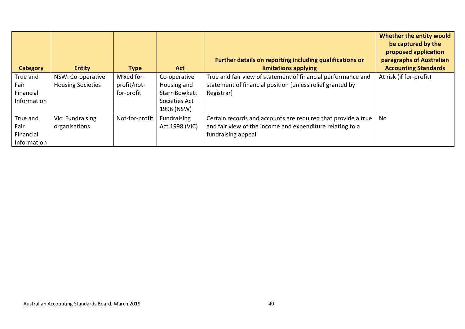| <b>Category</b>  | <b>Entity</b>                                 | <b>Type</b>               | <b>Act</b>                  | Further details on reporting including qualifications or<br>limitations applying                                          | Whether the entity would<br>be captured by the<br>proposed application<br>paragraphs of Australian<br><b>Accounting Standards</b> |
|------------------|-----------------------------------------------|---------------------------|-----------------------------|---------------------------------------------------------------------------------------------------------------------------|-----------------------------------------------------------------------------------------------------------------------------------|
| True and<br>Fair | NSW: Co-operative<br><b>Housing Societies</b> | Mixed for-<br>profit/not- | Co-operative<br>Housing and | True and fair view of statement of financial performance and<br>statement of financial position [unless relief granted by | At risk (if for-profit)                                                                                                           |
| Financial        |                                               | for-profit                | Starr-Bowkett               | Registrar]                                                                                                                |                                                                                                                                   |
| Information      |                                               |                           | Societies Act<br>1998 (NSW) |                                                                                                                           |                                                                                                                                   |
| True and         | Vic: Fundraising                              | Not-for-profit            | Fundraising                 | Certain records and accounts are required that provide a true                                                             | No                                                                                                                                |
| Fair             | organisations                                 |                           | Act 1998 (VIC)              | and fair view of the income and expenditure relating to a                                                                 |                                                                                                                                   |
| Financial        |                                               |                           |                             | fundraising appeal                                                                                                        |                                                                                                                                   |
| Information      |                                               |                           |                             |                                                                                                                           |                                                                                                                                   |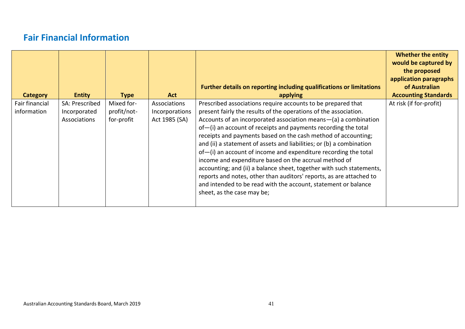# **Fair Financial Information**

<span id="page-40-0"></span>

| Category                      | <b>Entity</b>                                  | <b>Type</b>                             | <b>Act</b>                                      | <b>Further details on reporting including qualifications or limitations</b><br>applying                                                                                                                                                                                                                                                                                                                                                                                                                                                                                                                                                                                                                                                                                                         | <b>Whether the entity</b><br>would be captured by<br>the proposed<br>application paragraphs<br>of Australian<br><b>Accounting Standards</b> |
|-------------------------------|------------------------------------------------|-----------------------------------------|-------------------------------------------------|-------------------------------------------------------------------------------------------------------------------------------------------------------------------------------------------------------------------------------------------------------------------------------------------------------------------------------------------------------------------------------------------------------------------------------------------------------------------------------------------------------------------------------------------------------------------------------------------------------------------------------------------------------------------------------------------------------------------------------------------------------------------------------------------------|---------------------------------------------------------------------------------------------------------------------------------------------|
| Fair financial<br>information | SA: Prescribed<br>Incorporated<br>Associations | Mixed for-<br>profit/not-<br>for-profit | Associations<br>Incorporations<br>Act 1985 (SA) | Prescribed associations require accounts to be prepared that<br>present fairly the results of the operations of the association.<br>Accounts of an incorporated association means-(a) a combination<br>$of$ -(i) an account of receipts and payments recording the total<br>receipts and payments based on the cash method of accounting;<br>and (ii) a statement of assets and liabilities; or (b) a combination<br>$of$ -(i) an account of income and expenditure recording the total<br>income and expenditure based on the accrual method of<br>accounting; and (ii) a balance sheet, together with such statements,<br>reports and notes, other than auditors' reports, as are attached to<br>and intended to be read with the account, statement or balance<br>sheet, as the case may be; | At risk (if for-profit)                                                                                                                     |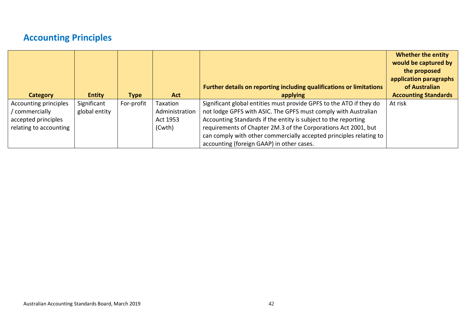# **Accounting Principles**

<span id="page-41-0"></span>

| Category                                                                               | <b>Entity</b>                | <b>Type</b> | <b>Act</b>                                       | Further details on reporting including qualifications or limitations<br>applying                                                                                                                                                                                                                                                                                                             | <b>Whether the entity</b><br>would be captured by<br>the proposed<br>application paragraphs<br>of Australian<br><b>Accounting Standards</b> |
|----------------------------------------------------------------------------------------|------------------------------|-------------|--------------------------------------------------|----------------------------------------------------------------------------------------------------------------------------------------------------------------------------------------------------------------------------------------------------------------------------------------------------------------------------------------------------------------------------------------------|---------------------------------------------------------------------------------------------------------------------------------------------|
| Accounting principles<br>commercially<br>accepted principles<br>relating to accounting | Significant<br>global entity | For-profit  | Taxation<br>Administration<br>Act 1953<br>(Cwth) | Significant global entities must provide GPFS to the ATO if they do<br>not lodge GPFS with ASIC. The GPFS must comply with Australian<br>Accounting Standards if the entity is subject to the reporting<br>requirements of Chapter 2M.3 of the Corporations Act 2001, but<br>can comply with other commercially accepted principles relating to<br>accounting (foreign GAAP) in other cases. | At risk                                                                                                                                     |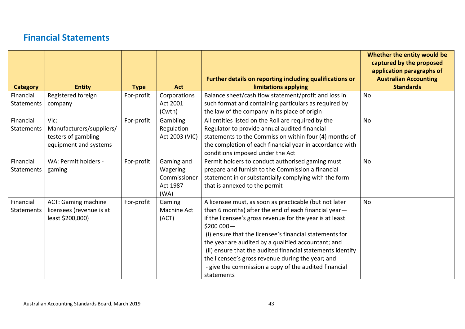#### **Financial Statements**

<span id="page-42-0"></span>

|                 |                            |             |                |                                                                                  | Whether the entity would be<br>captured by the proposed<br>application paragraphs of |
|-----------------|----------------------------|-------------|----------------|----------------------------------------------------------------------------------|--------------------------------------------------------------------------------------|
| <b>Category</b> | <b>Entity</b>              | <b>Type</b> | <b>Act</b>     | Further details on reporting including qualifications or<br>limitations applying | <b>Australian Accounting</b><br><b>Standards</b>                                     |
| Financial       | Registered foreign         | For-profit  | Corporations   | Balance sheet/cash flow statement/profit and loss in                             | <b>No</b>                                                                            |
| Statements      | company                    |             | Act 2001       | such format and containing particulars as required by                            |                                                                                      |
|                 |                            |             | (Cwth)         | the law of the company in its place of origin                                    |                                                                                      |
| Financial       | Vic:                       | For-profit  | Gambling       | All entities listed on the Roll are required by the                              | <b>No</b>                                                                            |
| Statements      | Manufacturers/suppliers/   |             | Regulation     | Regulator to provide annual audited financial                                    |                                                                                      |
|                 | testers of gambling        |             | Act 2003 (VIC) | statements to the Commission within four (4) months of                           |                                                                                      |
|                 | equipment and systems      |             |                | the completion of each financial year in accordance with                         |                                                                                      |
|                 |                            |             |                | conditions imposed under the Act                                                 |                                                                                      |
| Financial       | WA: Permit holders -       | For-profit  | Gaming and     | Permit holders to conduct authorised gaming must                                 | No                                                                                   |
| Statements      | gaming                     |             | Wagering       | prepare and furnish to the Commission a financial                                |                                                                                      |
|                 |                            |             | Commissioner   | statement in or substantially complying with the form                            |                                                                                      |
|                 |                            |             | Act 1987       | that is annexed to the permit                                                    |                                                                                      |
|                 |                            |             | (WA)           |                                                                                  |                                                                                      |
| Financial       | <b>ACT: Gaming machine</b> | For-profit  | Gaming         | A licensee must, as soon as practicable (but not later                           | <b>No</b>                                                                            |
| Statements      | licensees (revenue is at   |             | Machine Act    | than 6 months) after the end of each financial year-                             |                                                                                      |
|                 | least \$200,000)           |             | (ACT)          | if the licensee's gross revenue for the year is at least                         |                                                                                      |
|                 |                            |             |                | $$200000 -$                                                                      |                                                                                      |
|                 |                            |             |                | (i) ensure that the licensee's financial statements for                          |                                                                                      |
|                 |                            |             |                | the year are audited by a qualified accountant; and                              |                                                                                      |
|                 |                            |             |                | (ii) ensure that the audited financial statements identify                       |                                                                                      |
|                 |                            |             |                | the licensee's gross revenue during the year; and                                |                                                                                      |
|                 |                            |             |                | - give the commission a copy of the audited financial                            |                                                                                      |
|                 |                            |             |                | statements                                                                       |                                                                                      |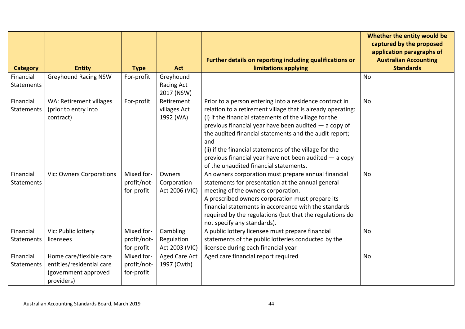|                                |                                                                                            |                                         |                                          | Further details on reporting including qualifications or                                                                                                                                                                                                                                                                                                                                                                                                                    | Whether the entity would be<br>captured by the proposed<br>application paragraphs of<br><b>Australian Accounting</b> |
|--------------------------------|--------------------------------------------------------------------------------------------|-----------------------------------------|------------------------------------------|-----------------------------------------------------------------------------------------------------------------------------------------------------------------------------------------------------------------------------------------------------------------------------------------------------------------------------------------------------------------------------------------------------------------------------------------------------------------------------|----------------------------------------------------------------------------------------------------------------------|
| <b>Category</b>                | <b>Entity</b>                                                                              | <b>Type</b>                             | <b>Act</b>                               | limitations applying                                                                                                                                                                                                                                                                                                                                                                                                                                                        | <b>Standards</b>                                                                                                     |
| Financial<br><b>Statements</b> | <b>Greyhound Racing NSW</b>                                                                | For-profit                              | Greyhound<br>Racing Act<br>2017 (NSW)    |                                                                                                                                                                                                                                                                                                                                                                                                                                                                             | <b>No</b>                                                                                                            |
| Financial<br>Statements        | WA: Retirement villages<br>(prior to entry into<br>contract)                               | For-profit                              | Retirement<br>villages Act<br>1992 (WA)  | Prior to a person entering into a residence contract in<br>relation to a retirement village that is already operating:<br>(i) if the financial statements of the village for the<br>previous financial year have been audited - a copy of<br>the audited financial statements and the audit report;<br>and<br>(ii) if the financial statements of the village for the<br>previous financial year have not been audited $-$ a copy<br>of the unaudited financial statements. | <b>No</b>                                                                                                            |
| Financial<br><b>Statements</b> | Vic: Owners Corporations                                                                   | Mixed for-<br>profit/not-<br>for-profit | Owners<br>Corporation<br>Act 2006 (VIC)  | An owners corporation must prepare annual financial<br>statements for presentation at the annual general<br>meeting of the owners corporation.<br>A prescribed owners corporation must prepare its<br>financial statements in accordance with the standards<br>required by the regulations (but that the regulations do<br>not specify any standards).                                                                                                                      | <b>No</b>                                                                                                            |
| Financial<br>Statements        | Vic: Public lottery<br>licensees                                                           | Mixed for-<br>profit/not-<br>for-profit | Gambling<br>Regulation<br>Act 2003 (VIC) | A public lottery licensee must prepare financial<br>statements of the public lotteries conducted by the<br>licensee during each financial year                                                                                                                                                                                                                                                                                                                              | <b>No</b>                                                                                                            |
| Financial<br><b>Statements</b> | Home care/flexible care<br>entities/residential care<br>(government approved<br>providers) | Mixed for-<br>profit/not-<br>for-profit | <b>Aged Care Act</b><br>1997 (Cwth)      | Aged care financial report required                                                                                                                                                                                                                                                                                                                                                                                                                                         | No                                                                                                                   |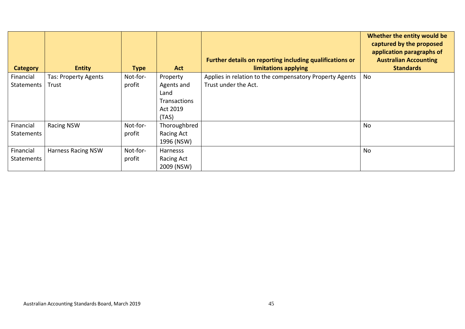| <b>Category</b>   | <b>Entity</b>             | <b>Type</b> | <b>Act</b>          | Further details on reporting including qualifications or<br>limitations applying | Whether the entity would be<br>captured by the proposed<br>application paragraphs of<br><b>Australian Accounting</b><br><b>Standards</b> |
|-------------------|---------------------------|-------------|---------------------|----------------------------------------------------------------------------------|------------------------------------------------------------------------------------------------------------------------------------------|
| Financial         | Tas: Property Agents      | Not-for-    | Property            | Applies in relation to the compensatory Property Agents                          | No                                                                                                                                       |
| <b>Statements</b> | Trust                     | profit      | Agents and          | Trust under the Act.                                                             |                                                                                                                                          |
|                   |                           |             | Land                |                                                                                  |                                                                                                                                          |
|                   |                           |             | <b>Transactions</b> |                                                                                  |                                                                                                                                          |
|                   |                           |             | Act 2019            |                                                                                  |                                                                                                                                          |
|                   |                           |             | (TAS)               |                                                                                  |                                                                                                                                          |
| Financial         | <b>Racing NSW</b>         | Not-for-    | Thoroughbred        |                                                                                  | No                                                                                                                                       |
| <b>Statements</b> |                           | profit      | Racing Act          |                                                                                  |                                                                                                                                          |
|                   |                           |             | 1996 (NSW)          |                                                                                  |                                                                                                                                          |
| Financial         | <b>Harness Racing NSW</b> | Not-for-    | Harnesss            |                                                                                  | <b>No</b>                                                                                                                                |
| <b>Statements</b> |                           | profit      | Racing Act          |                                                                                  |                                                                                                                                          |
|                   |                           |             | 2009 (NSW)          |                                                                                  |                                                                                                                                          |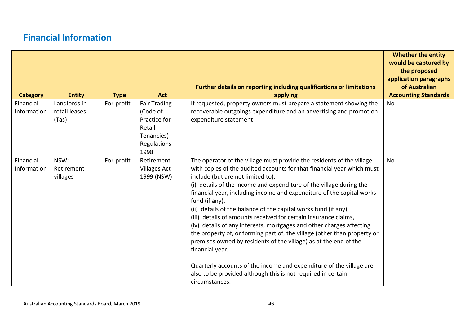# **Financial Information**

<span id="page-45-0"></span>

| <b>Category</b>          | <b>Entity</b>                          | <b>Type</b> | <b>Act</b>                                                                                     | Further details on reporting including qualifications or limitations<br>applying                                                                                                                                                                                                                                                                                                                                                                                                                                                                                                                                                                                                                                                                                                                                                                                                                 | <b>Whether the entity</b><br>would be captured by<br>the proposed<br>application paragraphs<br>of Australian<br><b>Accounting Standards</b> |
|--------------------------|----------------------------------------|-------------|------------------------------------------------------------------------------------------------|--------------------------------------------------------------------------------------------------------------------------------------------------------------------------------------------------------------------------------------------------------------------------------------------------------------------------------------------------------------------------------------------------------------------------------------------------------------------------------------------------------------------------------------------------------------------------------------------------------------------------------------------------------------------------------------------------------------------------------------------------------------------------------------------------------------------------------------------------------------------------------------------------|---------------------------------------------------------------------------------------------------------------------------------------------|
| Financial<br>Information | Landlords in<br>retail leases<br>(Tas) | For-profit  | <b>Fair Trading</b><br>(Code of<br>Practice for<br>Retail<br>Tenancies)<br>Regulations<br>1998 | If requested, property owners must prepare a statement showing the<br>recoverable outgoings expenditure and an advertising and promotion<br>expenditure statement                                                                                                                                                                                                                                                                                                                                                                                                                                                                                                                                                                                                                                                                                                                                | <b>No</b>                                                                                                                                   |
| Financial<br>Information | NSW:<br>Retirement<br>villages         | For-profit  | Retirement<br><b>Villages Act</b><br>1999 (NSW)                                                | The operator of the village must provide the residents of the village<br>with copies of the audited accounts for that financial year which must<br>include (but are not limited to):<br>(i) details of the income and expenditure of the village during the<br>financial year, including income and expenditure of the capital works<br>fund (if any),<br>(ii) details of the balance of the capital works fund (if any),<br>(iii) details of amounts received for certain insurance claims,<br>(iv) details of any interests, mortgages and other charges affecting<br>the property of, or forming part of, the village (other than property or<br>premises owned by residents of the village) as at the end of the<br>financial year.<br>Quarterly accounts of the income and expenditure of the village are<br>also to be provided although this is not required in certain<br>circumstances. | <b>No</b>                                                                                                                                   |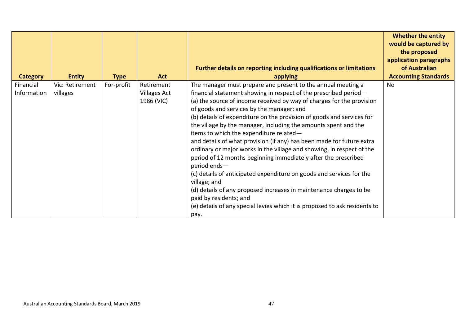| <b>Category</b>          | <b>Entity</b>               | <b>Type</b> | <b>Act</b>                                      | Further details on reporting including qualifications or limitations<br>applying                                                                                                                                                                                                                                                                                                                                                                                                                                                                                                                                                                                                                                                                                                                                                                                                                                                                                | <b>Whether the entity</b><br>would be captured by<br>the proposed<br>application paragraphs<br>of Australian<br><b>Accounting Standards</b> |
|--------------------------|-----------------------------|-------------|-------------------------------------------------|-----------------------------------------------------------------------------------------------------------------------------------------------------------------------------------------------------------------------------------------------------------------------------------------------------------------------------------------------------------------------------------------------------------------------------------------------------------------------------------------------------------------------------------------------------------------------------------------------------------------------------------------------------------------------------------------------------------------------------------------------------------------------------------------------------------------------------------------------------------------------------------------------------------------------------------------------------------------|---------------------------------------------------------------------------------------------------------------------------------------------|
| Financial<br>Information | Vic: Retirement<br>villages | For-profit  | Retirement<br><b>Villages Act</b><br>1986 (VIC) | The manager must prepare and present to the annual meeting a<br>financial statement showing in respect of the prescribed period-<br>(a) the source of income received by way of charges for the provision<br>of goods and services by the manager; and<br>(b) details of expenditure on the provision of goods and services for<br>the village by the manager, including the amounts spent and the<br>items to which the expenditure related-<br>and details of what provision (if any) has been made for future extra<br>ordinary or major works in the village and showing, in respect of the<br>period of 12 months beginning immediately after the prescribed<br>period ends-<br>(c) details of anticipated expenditure on goods and services for the<br>village; and<br>(d) details of any proposed increases in maintenance charges to be<br>paid by residents; and<br>(e) details of any special levies which it is proposed to ask residents to<br>pay. | No                                                                                                                                          |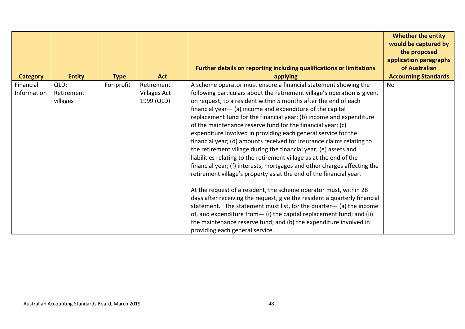| Further details on reporting including qualifications or limitations<br><b>Entity</b><br><b>Act</b><br>applying<br><b>Category</b><br><b>Type</b>   | <b>Whether the entity</b><br>would be captured by<br>the proposed<br>application paragraphs |
|-----------------------------------------------------------------------------------------------------------------------------------------------------|---------------------------------------------------------------------------------------------|
|                                                                                                                                                     | of Australian                                                                               |
|                                                                                                                                                     | <b>Accounting Standards</b>                                                                 |
| A scheme operator must ensure a financial statement showing the<br>Financial<br>For-profit<br>Retirement<br>QLD:<br>No                              |                                                                                             |
| Information<br>following particulars about the retirement village's operation is given,<br>Retirement<br><b>Villages Act</b>                        |                                                                                             |
| on request, to a resident within 5 months after the end of each<br>1999 (QLD)<br>villages                                                           |                                                                                             |
| financial year $-$ (a) income and expenditure of the capital                                                                                        |                                                                                             |
| replacement fund for the financial year; (b) income and expenditure                                                                                 |                                                                                             |
| of the maintenance reserve fund for the financial year; (c)                                                                                         |                                                                                             |
| expenditure involved in providing each general service for the                                                                                      |                                                                                             |
| financial year; (d) amounts received for insurance claims relating to                                                                               |                                                                                             |
| the retirement village during the financial year; (e) assets and                                                                                    |                                                                                             |
| liabilities relating to the retirement village as at the end of the                                                                                 |                                                                                             |
| financial year; (f) interests, mortgages and other charges affecting the                                                                            |                                                                                             |
| retirement village's property as at the end of the financial year.                                                                                  |                                                                                             |
|                                                                                                                                                     |                                                                                             |
| At the request of a resident, the scheme operator must, within 28                                                                                   |                                                                                             |
| days after receiving the request, give the resident a quarterly financial<br>statement. The statement must list, for the quarter $-$ (a) the income |                                                                                             |
| of, and expenditure from - (i) the capital replacement fund; and (ii)                                                                               |                                                                                             |
| the maintenance reserve fund; and (b) the expenditure involved in                                                                                   |                                                                                             |
| providing each general service.                                                                                                                     |                                                                                             |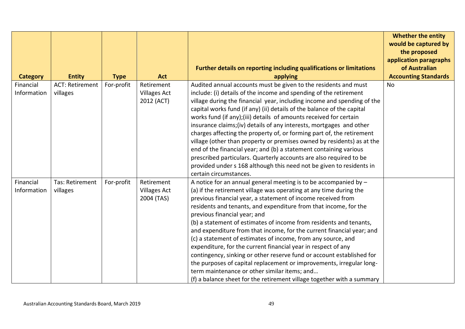|                          |                                    |             |                                                 |                                                                                                                                                                                                                                                                                                                                                                                                                                                                                                                                                                                                                                                                                                                                                                                                                                                                         | <b>Whether the entity</b><br>would be captured by<br>the proposed |
|--------------------------|------------------------------------|-------------|-------------------------------------------------|-------------------------------------------------------------------------------------------------------------------------------------------------------------------------------------------------------------------------------------------------------------------------------------------------------------------------------------------------------------------------------------------------------------------------------------------------------------------------------------------------------------------------------------------------------------------------------------------------------------------------------------------------------------------------------------------------------------------------------------------------------------------------------------------------------------------------------------------------------------------------|-------------------------------------------------------------------|
|                          |                                    |             |                                                 | Further details on reporting including qualifications or limitations                                                                                                                                                                                                                                                                                                                                                                                                                                                                                                                                                                                                                                                                                                                                                                                                    | application paragraphs<br>of Australian                           |
| <b>Category</b>          | <b>Entity</b>                      | <b>Type</b> | <b>Act</b>                                      | applying                                                                                                                                                                                                                                                                                                                                                                                                                                                                                                                                                                                                                                                                                                                                                                                                                                                                | <b>Accounting Standards</b>                                       |
| Financial<br>Information | <b>ACT: Retirement</b><br>villages | For-profit  | Retirement<br><b>Villages Act</b><br>2012 (ACT) | Audited annual accounts must be given to the residents and must<br>include: (i) details of the income and spending of the retirement<br>village during the financial year, including income and spending of the<br>capital works fund (if any) (ii) details of the balance of the capital<br>works fund (if any); (iii) details of amounts received for certain<br>insurance claims; (iv) details of any interests, mortgages and other<br>charges affecting the property of, or forming part of, the retirement<br>village (other than property or premises owned by residents) as at the<br>end of the financial year; and (b) a statement containing various<br>prescribed particulars. Quarterly accounts are also required to be<br>provided under s 168 although this need not be given to residents in<br>certain circumstances.                                 | No                                                                |
| Financial<br>Information | Tas: Retirement<br>villages        | For-profit  | Retirement<br><b>Villages Act</b><br>2004 (TAS) | A notice for an annual general meeting is to be accompanied by $-$<br>(a) if the retirement village was operating at any time during the<br>previous financial year, a statement of income received from<br>residents and tenants, and expenditure from that income, for the<br>previous financial year; and<br>(b) a statement of estimates of income from residents and tenants,<br>and expenditure from that income, for the current financial year; and<br>(c) a statement of estimates of income, from any source, and<br>expenditure, for the current financial year in respect of any<br>contingency, sinking or other reserve fund or account established for<br>the purposes of capital replacement or improvements, irregular long-<br>term maintenance or other similar items; and<br>(f) a balance sheet for the retirement village together with a summary |                                                                   |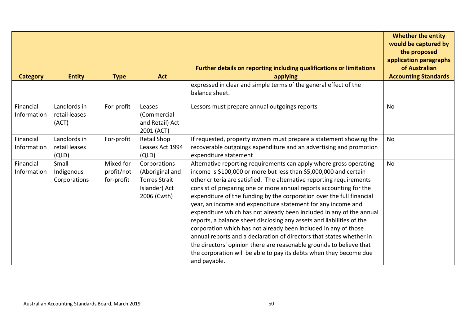|                          |                                        |                                         |                                                                                         |                                                                                                                                                                                                                                                                                                                                                                                                                                                                                                                                                                                                                                                                                                                                                                                                                                                                                         | <b>Whether the entity</b><br>would be captured by |
|--------------------------|----------------------------------------|-----------------------------------------|-----------------------------------------------------------------------------------------|-----------------------------------------------------------------------------------------------------------------------------------------------------------------------------------------------------------------------------------------------------------------------------------------------------------------------------------------------------------------------------------------------------------------------------------------------------------------------------------------------------------------------------------------------------------------------------------------------------------------------------------------------------------------------------------------------------------------------------------------------------------------------------------------------------------------------------------------------------------------------------------------|---------------------------------------------------|
|                          |                                        |                                         |                                                                                         |                                                                                                                                                                                                                                                                                                                                                                                                                                                                                                                                                                                                                                                                                                                                                                                                                                                                                         | the proposed<br>application paragraphs            |
| <b>Category</b>          | <b>Entity</b>                          | <b>Type</b>                             | <b>Act</b>                                                                              | Further details on reporting including qualifications or limitations<br>applying                                                                                                                                                                                                                                                                                                                                                                                                                                                                                                                                                                                                                                                                                                                                                                                                        | of Australian<br><b>Accounting Standards</b>      |
|                          |                                        |                                         |                                                                                         | expressed in clear and simple terms of the general effect of the<br>balance sheet.                                                                                                                                                                                                                                                                                                                                                                                                                                                                                                                                                                                                                                                                                                                                                                                                      |                                                   |
| Financial<br>Information | Landlords in<br>retail leases<br>(ACT) | For-profit                              | Leases<br>(Commercial<br>and Retail) Act<br>2001 (ACT)                                  | Lessors must prepare annual outgoings reports                                                                                                                                                                                                                                                                                                                                                                                                                                                                                                                                                                                                                                                                                                                                                                                                                                           | <b>No</b>                                         |
| Financial<br>Information | Landlords in<br>retail leases<br>(QLD) | For-profit                              | <b>Retail Shop</b><br>Leases Act 1994<br>(QLD)                                          | If requested, property owners must prepare a statement showing the<br>recoverable outgoings expenditure and an advertising and promotion<br>expenditure statement                                                                                                                                                                                                                                                                                                                                                                                                                                                                                                                                                                                                                                                                                                                       | <b>No</b>                                         |
| Financial<br>Information | Small<br>Indigenous<br>Corporations    | Mixed for-<br>profit/not-<br>for-profit | Corporations<br>(Aboriginal and<br><b>Torres Strait</b><br>Islander) Act<br>2006 (Cwth) | Alternative reporting requirements can apply where gross operating<br>income is \$100,000 or more but less than \$5,000,000 and certain<br>other criteria are satisfied. The alternative reporting requirements<br>consist of preparing one or more annual reports accounting for the<br>expenditure of the funding by the corporation over the full financial<br>year, an income and expenditure statement for any income and<br>expenditure which has not already been included in any of the annual<br>reports, a balance sheet disclosing any assets and liabilities of the<br>corporation which has not already been included in any of those<br>annual reports and a declaration of directors that states whether in<br>the directors' opinion there are reasonable grounds to believe that<br>the corporation will be able to pay its debts when they become due<br>and payable. | No                                                |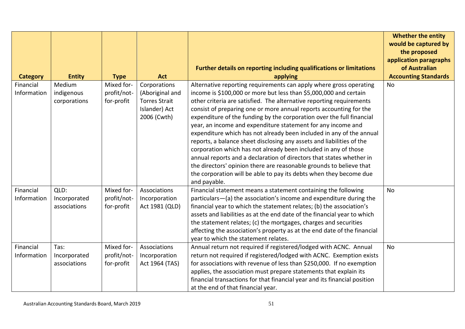|                          |                                      |                                         |                                                                                         |                                                                                                                                                                                                                                                                                                                                                                                                                                                                                                                                                                                                                                                                                                                                                                                                                                                                                         | <b>Whether the entity</b><br>would be captured by<br>the proposed |
|--------------------------|--------------------------------------|-----------------------------------------|-----------------------------------------------------------------------------------------|-----------------------------------------------------------------------------------------------------------------------------------------------------------------------------------------------------------------------------------------------------------------------------------------------------------------------------------------------------------------------------------------------------------------------------------------------------------------------------------------------------------------------------------------------------------------------------------------------------------------------------------------------------------------------------------------------------------------------------------------------------------------------------------------------------------------------------------------------------------------------------------------|-------------------------------------------------------------------|
|                          |                                      |                                         |                                                                                         | Further details on reporting including qualifications or limitations                                                                                                                                                                                                                                                                                                                                                                                                                                                                                                                                                                                                                                                                                                                                                                                                                    | application paragraphs<br>of Australian                           |
| <b>Category</b>          | <b>Entity</b>                        | <b>Type</b>                             | <b>Act</b>                                                                              | applying                                                                                                                                                                                                                                                                                                                                                                                                                                                                                                                                                                                                                                                                                                                                                                                                                                                                                | <b>Accounting Standards</b>                                       |
| Financial<br>Information | Medium<br>indigenous<br>corporations | Mixed for-<br>profit/not-<br>for-profit | Corporations<br>(Aboriginal and<br><b>Torres Strait</b><br>Islander) Act<br>2006 (Cwth) | Alternative reporting requirements can apply where gross operating<br>income is \$100,000 or more but less than \$5,000,000 and certain<br>other criteria are satisfied. The alternative reporting requirements<br>consist of preparing one or more annual reports accounting for the<br>expenditure of the funding by the corporation over the full financial<br>year, an income and expenditure statement for any income and<br>expenditure which has not already been included in any of the annual<br>reports, a balance sheet disclosing any assets and liabilities of the<br>corporation which has not already been included in any of those<br>annual reports and a declaration of directors that states whether in<br>the directors' opinion there are reasonable grounds to believe that<br>the corporation will be able to pay its debts when they become due<br>and payable. | No                                                                |
| Financial<br>Information | QLD:<br>Incorporated<br>associations | Mixed for-<br>profit/not-<br>for-profit | Associations<br>Incorporation<br>Act 1981 (QLD)                                         | Financial statement means a statement containing the following<br>particulars-(a) the association's income and expenditure during the<br>financial year to which the statement relates; (b) the association's<br>assets and liabilities as at the end date of the financial year to which<br>the statement relates; (c) the mortgages, charges and securities<br>affecting the association's property as at the end date of the financial<br>year to which the statement relates.                                                                                                                                                                                                                                                                                                                                                                                                       | <b>No</b>                                                         |
| Financial<br>Information | Tas:<br>Incorporated<br>associations | Mixed for-<br>profit/not-<br>for-profit | Associations<br>Incorporation<br>Act 1964 (TAS)                                         | Annual return not required if registered/lodged with ACNC. Annual<br>return not required if registered/lodged with ACNC. Exemption exists<br>for associations with revenue of less than \$250,000. If no exemption<br>applies, the association must prepare statements that explain its<br>financial transactions for that financial year and its financial position<br>at the end of that financial year.                                                                                                                                                                                                                                                                                                                                                                                                                                                                              | No                                                                |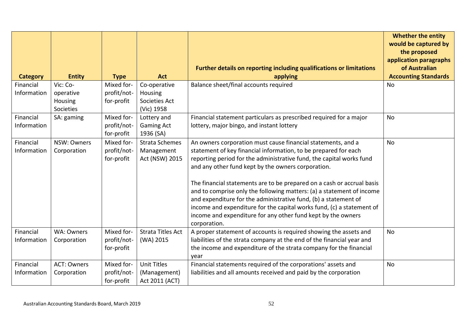|                          |                                               |                                         |                                                               |                                                                                                                                                                                                                                                                                                                                                                                                                                                                                                                                                                                                                                              | <b>Whether the entity</b><br>would be captured by<br>the proposed<br>application paragraphs |
|--------------------------|-----------------------------------------------|-----------------------------------------|---------------------------------------------------------------|----------------------------------------------------------------------------------------------------------------------------------------------------------------------------------------------------------------------------------------------------------------------------------------------------------------------------------------------------------------------------------------------------------------------------------------------------------------------------------------------------------------------------------------------------------------------------------------------------------------------------------------------|---------------------------------------------------------------------------------------------|
| <b>Category</b>          | <b>Entity</b>                                 | <b>Type</b>                             | <b>Act</b>                                                    | Further details on reporting including qualifications or limitations<br>applying                                                                                                                                                                                                                                                                                                                                                                                                                                                                                                                                                             | of Australian<br><b>Accounting Standards</b>                                                |
| Financial<br>Information | Vic: Co-<br>operative<br>Housing<br>Societies | Mixed for-<br>profit/not-<br>for-profit | Co-operative<br><b>Housing</b><br>Societies Act<br>(Vic) 1958 | Balance sheet/final accounts required                                                                                                                                                                                                                                                                                                                                                                                                                                                                                                                                                                                                        | No                                                                                          |
| Financial<br>Information | SA: gaming                                    | Mixed for-<br>profit/not-<br>for-profit | Lottery and<br><b>Gaming Act</b><br>1936 (SA)                 | Financial statement particulars as prescribed required for a major<br>lottery, major bingo, and instant lottery                                                                                                                                                                                                                                                                                                                                                                                                                                                                                                                              | <b>No</b>                                                                                   |
| Financial<br>Information | NSW: Owners<br>Corporation                    | Mixed for-<br>profit/not-<br>for-profit | <b>Strata Schemes</b><br>Management<br>Act (NSW) 2015         | An owners corporation must cause financial statements, and a<br>statement of key financial information, to be prepared for each<br>reporting period for the administrative fund, the capital works fund<br>and any other fund kept by the owners corporation.<br>The financial statements are to be prepared on a cash or accrual basis<br>and to comprise only the following matters: (a) a statement of income<br>and expenditure for the administrative fund, (b) a statement of<br>income and expenditure for the capital works fund, (c) a statement of<br>income and expenditure for any other fund kept by the owners<br>corporation. | <b>No</b>                                                                                   |
| Financial<br>Information | WA: Owners<br>Corporation                     | Mixed for-<br>profit/not-<br>for-profit | <b>Strata Titles Act</b><br>(WA) 2015                         | A proper statement of accounts is required showing the assets and<br>liabilities of the strata company at the end of the financial year and<br>the income and expenditure of the strata company for the financial<br>year                                                                                                                                                                                                                                                                                                                                                                                                                    | <b>No</b>                                                                                   |
| Financial<br>Information | <b>ACT: Owners</b><br>Corporation             | Mixed for-<br>profit/not-<br>for-profit | <b>Unit Titles</b><br>(Management)<br>Act 2011 (ACT)          | Financial statements required of the corporations' assets and<br>liabilities and all amounts received and paid by the corporation                                                                                                                                                                                                                                                                                                                                                                                                                                                                                                            | <b>No</b>                                                                                   |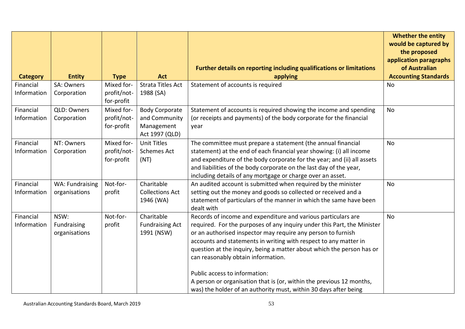|                 |                 |             |                                      |                                                                                                             | <b>Whether the entity</b><br>would be captured by |
|-----------------|-----------------|-------------|--------------------------------------|-------------------------------------------------------------------------------------------------------------|---------------------------------------------------|
|                 |                 |             |                                      |                                                                                                             | the proposed<br>application paragraphs            |
| <b>Category</b> | <b>Entity</b>   | <b>Type</b> | <b>Act</b>                           | Further details on reporting including qualifications or limitations<br>applying                            | of Australian<br><b>Accounting Standards</b>      |
| Financial       | SA: Owners      | Mixed for-  | <b>Strata Titles Act</b>             | Statement of accounts is required                                                                           | <b>No</b>                                         |
| Information     | Corporation     | profit/not- | 1988 (SA)                            |                                                                                                             |                                                   |
|                 |                 | for-profit  |                                      |                                                                                                             |                                                   |
| Financial       | QLD: Owners     | Mixed for-  | <b>Body Corporate</b>                | Statement of accounts is required showing the income and spending                                           | <b>No</b>                                         |
| Information     | Corporation     | profit/not- | and Community                        | (or receipts and payments) of the body corporate for the financial                                          |                                                   |
|                 |                 | for-profit  | Management                           | year                                                                                                        |                                                   |
| Financial       | NT: Owners      | Mixed for-  | Act 1997 (QLD)<br><b>Unit Titles</b> | The committee must prepare a statement (the annual financial                                                | <b>No</b>                                         |
| Information     | Corporation     | profit/not- | <b>Schemes Act</b>                   | statement) at the end of each financial year showing: (i) all income                                        |                                                   |
|                 |                 | for-profit  | (NT)                                 | and expenditure of the body corporate for the year; and (ii) all assets                                     |                                                   |
|                 |                 |             |                                      | and liabilities of the body corporate on the last day of the year,                                          |                                                   |
|                 |                 |             |                                      | including details of any mortgage or charge over an asset.                                                  |                                                   |
| Financial       | WA: Fundraising | Not-for-    | Charitable                           | An audited account is submitted when required by the minister                                               | <b>No</b>                                         |
| Information     | organisations   | profit      | <b>Collections Act</b>               | setting out the money and goods so collected or received and a                                              |                                                   |
|                 |                 |             | 1946 (WA)                            | statement of particulars of the manner in which the same have been<br>dealt with                            |                                                   |
| Financial       | NSW:            | Not-for-    | Charitable                           | Records of income and expenditure and various particulars are                                               | <b>No</b>                                         |
| Information     | Fundraising     | profit      | <b>Fundraising Act</b>               | required. For the purposes of any inquiry under this Part, the Minister                                     |                                                   |
|                 | organisations   |             | 1991 (NSW)                           | or an authorised inspector may require any person to furnish                                                |                                                   |
|                 |                 |             |                                      | accounts and statements in writing with respect to any matter in                                            |                                                   |
|                 |                 |             |                                      | question at the inquiry, being a matter about which the person has or<br>can reasonably obtain information. |                                                   |
|                 |                 |             |                                      |                                                                                                             |                                                   |
|                 |                 |             |                                      | Public access to information:                                                                               |                                                   |
|                 |                 |             |                                      | A person or organisation that is (or, within the previous 12 months,                                        |                                                   |
|                 |                 |             |                                      | was) the holder of an authority must, within 30 days after being                                            |                                                   |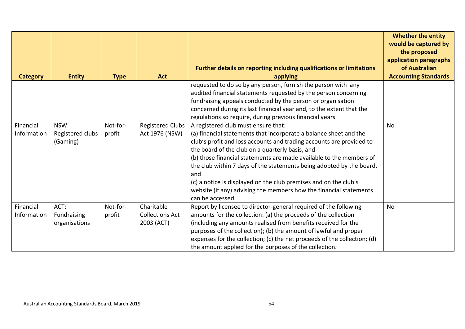|                          |                                      |                    |                                                    | Further details on reporting including qualifications or limitations                                                                                                                                                                                                                                                                                                                                                                                                                                             | <b>Whether the entity</b><br>would be captured by<br>the proposed<br>application paragraphs<br>of Australian |
|--------------------------|--------------------------------------|--------------------|----------------------------------------------------|------------------------------------------------------------------------------------------------------------------------------------------------------------------------------------------------------------------------------------------------------------------------------------------------------------------------------------------------------------------------------------------------------------------------------------------------------------------------------------------------------------------|--------------------------------------------------------------------------------------------------------------|
| <b>Category</b>          | <b>Entity</b>                        | <b>Type</b>        | <b>Act</b>                                         | applying                                                                                                                                                                                                                                                                                                                                                                                                                                                                                                         | <b>Accounting Standards</b>                                                                                  |
| Financial                | NSW:                                 | Not-for-           | <b>Registered Clubs</b>                            | requested to do so by any person, furnish the person with any<br>audited financial statements requested by the person concerning<br>fundraising appeals conducted by the person or organisation<br>concerned during its last financial year and, to the extent that the<br>regulations so require, during previous financial years.<br>A registered club must ensure that:                                                                                                                                       | <b>No</b>                                                                                                    |
| Information              | Registered clubs<br>(Gaming)         | profit             | Act 1976 (NSW)                                     | (a) financial statements that incorporate a balance sheet and the<br>club's profit and loss accounts and trading accounts are provided to<br>the board of the club on a quarterly basis, and<br>(b) those financial statements are made available to the members of<br>the club within 7 days of the statements being adopted by the board,<br>and<br>(c) a notice is displayed on the club premises and on the club's<br>website (if any) advising the members how the financial statements<br>can be accessed. |                                                                                                              |
| Financial<br>Information | ACT:<br>Fundraising<br>organisations | Not-for-<br>profit | Charitable<br><b>Collections Act</b><br>2003 (ACT) | Report by licensee to director-general required of the following<br>amounts for the collection: (a) the proceeds of the collection<br>(including any amounts realised from benefits received for the<br>purposes of the collection); (b) the amount of lawful and proper<br>expenses for the collection; (c) the net proceeds of the collection; (d)<br>the amount applied for the purposes of the collection.                                                                                                   | No                                                                                                           |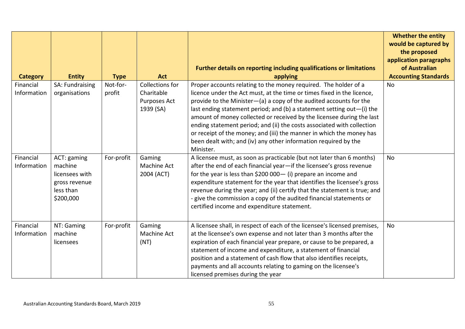|                 |                            |             |                 |                                                                                                                                                      | <b>Whether the entity</b><br>would be captured by<br>the proposed<br>application paragraphs |
|-----------------|----------------------------|-------------|-----------------|------------------------------------------------------------------------------------------------------------------------------------------------------|---------------------------------------------------------------------------------------------|
|                 |                            |             |                 | Further details on reporting including qualifications or limitations                                                                                 | of Australian                                                                               |
| <b>Category</b> | <b>Entity</b>              | <b>Type</b> | <b>Act</b>      | applying                                                                                                                                             | <b>Accounting Standards</b>                                                                 |
| Financial       | SA: Fundraising            | Not-for-    | Collections for | Proper accounts relating to the money required. The holder of a                                                                                      | No                                                                                          |
| Information     | organisations              | profit      | Charitable      | licence under the Act must, at the time or times fixed in the licence,                                                                               |                                                                                             |
|                 |                            |             | Purposes Act    | provide to the Minister-(a) a copy of the audited accounts for the                                                                                   |                                                                                             |
|                 |                            |             | 1939 (SA)       | last ending statement period; and (b) a statement setting out $-$ (i) the                                                                            |                                                                                             |
|                 |                            |             |                 | amount of money collected or received by the licensee during the last                                                                                |                                                                                             |
|                 |                            |             |                 | ending statement period; and (ii) the costs associated with collection                                                                               |                                                                                             |
|                 |                            |             |                 | or receipt of the money; and (iii) the manner in which the money has                                                                                 |                                                                                             |
|                 |                            |             |                 | been dealt with; and (iv) any other information required by the                                                                                      |                                                                                             |
|                 |                            |             |                 | Minister.                                                                                                                                            |                                                                                             |
| Financial       | ACT: gaming                | For-profit  | Gaming          | A licensee must, as soon as practicable (but not later than 6 months)                                                                                | <b>No</b>                                                                                   |
| Information     | machine                    |             | Machine Act     | after the end of each financial year-if the licensee's gross revenue                                                                                 |                                                                                             |
|                 | licensees with             |             | 2004 (ACT)      | for the year is less than \$200 000 - (i) prepare an income and                                                                                      |                                                                                             |
|                 | gross revenue<br>less than |             |                 | expenditure statement for the year that identifies the licensee's gross<br>revenue during the year; and (ii) certify that the statement is true; and |                                                                                             |
|                 | \$200,000                  |             |                 | give the commission a copy of the audited financial statements or                                                                                    |                                                                                             |
|                 |                            |             |                 | certified income and expenditure statement.                                                                                                          |                                                                                             |
|                 |                            |             |                 |                                                                                                                                                      |                                                                                             |
|                 |                            |             |                 |                                                                                                                                                      |                                                                                             |
| Financial       | NT: Gaming                 | For-profit  | Gaming          | A licensee shall, in respect of each of the licensee's licensed premises,                                                                            | <b>No</b>                                                                                   |
| Information     | machine                    |             | Machine Act     | at the licensee's own expense and not later than 3 months after the                                                                                  |                                                                                             |
|                 | licensees                  |             | (NT)            | expiration of each financial year prepare, or cause to be prepared, a                                                                                |                                                                                             |
|                 |                            |             |                 | statement of income and expenditure, a statement of financial                                                                                        |                                                                                             |
|                 |                            |             |                 | position and a statement of cash flow that also identifies receipts,                                                                                 |                                                                                             |
|                 |                            |             |                 | payments and all accounts relating to gaming on the licensee's                                                                                       |                                                                                             |
|                 |                            |             |                 | licensed premises during the year                                                                                                                    |                                                                                             |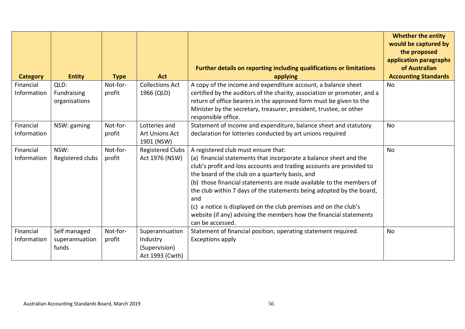|                 |                  |             |                              |                                                                                           | <b>Whether the entity</b><br>would be captured by |
|-----------------|------------------|-------------|------------------------------|-------------------------------------------------------------------------------------------|---------------------------------------------------|
|                 |                  |             |                              |                                                                                           | the proposed                                      |
|                 |                  |             |                              | <b>Further details on reporting including qualifications or limitations</b>               | application paragraphs<br>of Australian           |
| <b>Category</b> | <b>Entity</b>    | <b>Type</b> | <b>Act</b>                   | applying                                                                                  | <b>Accounting Standards</b>                       |
| Financial       | QLD:             | Not-for-    | <b>Collections Act</b>       | A copy of the income and expenditure account, a balance sheet                             | <b>No</b>                                         |
| Information     | Fundraising      | profit      | 1966 (QLD)                   | certified by the auditors of the charity, association or promoter, and a                  |                                                   |
|                 | organisations    |             |                              | return of office bearers in the approved form must be given to the                        |                                                   |
|                 |                  |             |                              | Minister by the secretary, treasurer, president, trustee, or other<br>responsible office. |                                                   |
| Financial       | NSW: gaming      | Not-for-    | Lotteries and                | Statement of income and expenditure, balance sheet and statutory                          | <b>No</b>                                         |
| Information     |                  | profit      | Art Unions Act<br>1901 (NSW) | declaration for lotteries conducted by art unions required                                |                                                   |
| Financial       | NSW:             | Not-for-    | <b>Registered Clubs</b>      | A registered club must ensure that:                                                       | <b>No</b>                                         |
| Information     | Registered clubs | profit      | Act 1976 (NSW)               | (a) financial statements that incorporate a balance sheet and the                         |                                                   |
|                 |                  |             |                              | club's profit and loss accounts and trading accounts are provided to                      |                                                   |
|                 |                  |             |                              | the board of the club on a quarterly basis, and                                           |                                                   |
|                 |                  |             |                              | (b) those financial statements are made available to the members of                       |                                                   |
|                 |                  |             |                              | the club within 7 days of the statements being adopted by the board,<br>and               |                                                   |
|                 |                  |             |                              | (c) a notice is displayed on the club premises and on the club's                          |                                                   |
|                 |                  |             |                              | website (if any) advising the members how the financial statements<br>can be accessed.    |                                                   |
| Financial       | Self managed     | Not-for-    | Superannuation               | Statement of financial position, operating statement required.                            | No                                                |
| Information     | superannuation   | profit      | Industry                     | <b>Exceptions apply</b>                                                                   |                                                   |
|                 | funds            |             | (Supervision)                |                                                                                           |                                                   |
|                 |                  |             | Act 1993 (Cwth)              |                                                                                           |                                                   |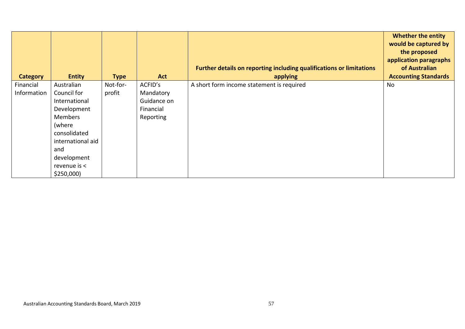| <b>Category</b> | <b>Entity</b>     | <b>Type</b> | <b>Act</b>  | Further details on reporting including qualifications or limitations<br>applying | <b>Whether the entity</b><br>would be captured by<br>the proposed<br>application paragraphs<br>of Australian<br><b>Accounting Standards</b> |
|-----------------|-------------------|-------------|-------------|----------------------------------------------------------------------------------|---------------------------------------------------------------------------------------------------------------------------------------------|
| Financial       | Australian        | Not-for-    | ACFID's     | A short form income statement is required                                        | No                                                                                                                                          |
| Information     | Council for       | profit      | Mandatory   |                                                                                  |                                                                                                                                             |
|                 | International     |             | Guidance on |                                                                                  |                                                                                                                                             |
|                 | Development       |             | Financial   |                                                                                  |                                                                                                                                             |
|                 | <b>Members</b>    |             | Reporting   |                                                                                  |                                                                                                                                             |
|                 | (where            |             |             |                                                                                  |                                                                                                                                             |
|                 | consolidated      |             |             |                                                                                  |                                                                                                                                             |
|                 | international aid |             |             |                                                                                  |                                                                                                                                             |
|                 | and               |             |             |                                                                                  |                                                                                                                                             |
|                 | development       |             |             |                                                                                  |                                                                                                                                             |
|                 | revenue is <      |             |             |                                                                                  |                                                                                                                                             |
|                 | \$250,000         |             |             |                                                                                  |                                                                                                                                             |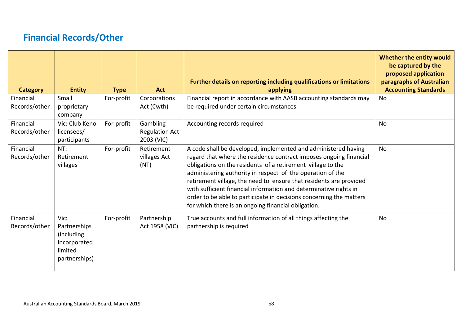# **Financial Records/Other**

<span id="page-57-0"></span>

| <b>Category</b>            | <b>Entity</b>                                                                  | <b>Type</b> | <b>Act</b>                                      | Further details on reporting including qualifications or limitations<br>applying                                                                                                                                                                                                                                                                                                                                                                                                                                                           | Whether the entity would<br>be captured by the<br>proposed application<br>paragraphs of Australian<br><b>Accounting Standards</b> |
|----------------------------|--------------------------------------------------------------------------------|-------------|-------------------------------------------------|--------------------------------------------------------------------------------------------------------------------------------------------------------------------------------------------------------------------------------------------------------------------------------------------------------------------------------------------------------------------------------------------------------------------------------------------------------------------------------------------------------------------------------------------|-----------------------------------------------------------------------------------------------------------------------------------|
| Financial                  | Small                                                                          | For-profit  | Corporations                                    | Financial report in accordance with AASB accounting standards may                                                                                                                                                                                                                                                                                                                                                                                                                                                                          | No                                                                                                                                |
| Records/other              | proprietary<br>company                                                         |             | Act (Cwth)                                      | be required under certain circumstances                                                                                                                                                                                                                                                                                                                                                                                                                                                                                                    |                                                                                                                                   |
| Financial<br>Records/other | Vic: Club Keno<br>licensees/<br>participants                                   | For-profit  | Gambling<br><b>Regulation Act</b><br>2003 (VIC) | Accounting records required                                                                                                                                                                                                                                                                                                                                                                                                                                                                                                                | <b>No</b>                                                                                                                         |
| Financial<br>Records/other | NT:<br>Retirement<br>villages                                                  | For-profit  | Retirement<br>villages Act<br>(NT)              | A code shall be developed, implemented and administered having<br>regard that where the residence contract imposes ongoing financial<br>obligations on the residents of a retirement village to the<br>administering authority in respect of the operation of the<br>retirement village, the need to ensure that residents are provided<br>with sufficient financial information and determinative rights in<br>order to be able to participate in decisions concerning the matters<br>for which there is an ongoing financial obligation. | <b>No</b>                                                                                                                         |
| Financial<br>Records/other | Vic:<br>Partnerships<br>(including<br>incorporated<br>limited<br>partnerships) | For-profit  | Partnership<br>Act 1958 (VIC)                   | True accounts and full information of all things affecting the<br>partnership is required                                                                                                                                                                                                                                                                                                                                                                                                                                                  | <b>No</b>                                                                                                                         |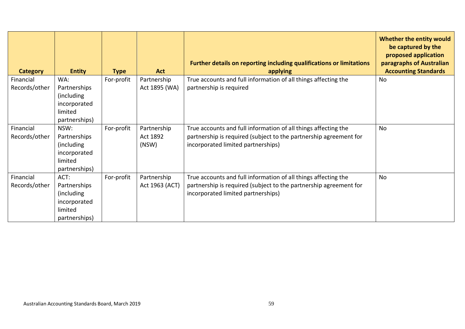| <b>Category</b> | <b>Entity</b>               | <b>Type</b> | <b>Act</b>        | Further details on reporting including qualifications or limitations<br>applying                        | Whether the entity would<br>be captured by the<br>proposed application<br>paragraphs of Australian<br><b>Accounting Standards</b> |
|-----------------|-----------------------------|-------------|-------------------|---------------------------------------------------------------------------------------------------------|-----------------------------------------------------------------------------------------------------------------------------------|
| Financial       | WA:                         | For-profit  | Partnership       | True accounts and full information of all things affecting the                                          | <b>No</b>                                                                                                                         |
| Records/other   | Partnerships<br>(including) |             | Act 1895 (WA)     | partnership is required                                                                                 |                                                                                                                                   |
|                 | incorporated                |             |                   |                                                                                                         |                                                                                                                                   |
|                 | limited                     |             |                   |                                                                                                         |                                                                                                                                   |
|                 | partnerships)               |             |                   |                                                                                                         |                                                                                                                                   |
| Financial       | NSW:                        | For-profit  | Partnership       | True accounts and full information of all things affecting the                                          | <b>No</b>                                                                                                                         |
| Records/other   | Partnerships<br>(including  |             | Act 1892<br>(NSW) | partnership is required (subject to the partnership agreement for<br>incorporated limited partnerships) |                                                                                                                                   |
|                 | incorporated                |             |                   |                                                                                                         |                                                                                                                                   |
|                 | limited                     |             |                   |                                                                                                         |                                                                                                                                   |
|                 | partnerships)               |             |                   |                                                                                                         |                                                                                                                                   |
| Financial       | ACT:                        | For-profit  | Partnership       | True accounts and full information of all things affecting the                                          | No                                                                                                                                |
| Records/other   | Partnerships                |             | Act 1963 (ACT)    | partnership is required (subject to the partnership agreement for                                       |                                                                                                                                   |
|                 | (including)                 |             |                   | incorporated limited partnerships)                                                                      |                                                                                                                                   |
|                 | incorporated<br>limited     |             |                   |                                                                                                         |                                                                                                                                   |
|                 | partnerships)               |             |                   |                                                                                                         |                                                                                                                                   |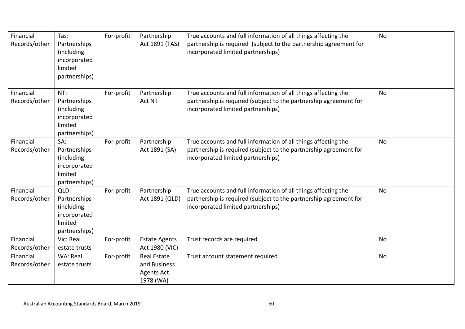| Financial<br>Records/other | Tas:<br>Partnerships<br>(including<br>incorporated<br>limited<br>partnerships) | For-profit | Partnership<br>Act 1891 (TAS)                                        | True accounts and full information of all things affecting the<br>partnership is required (subject to the partnership agreement for<br>incorporated limited partnerships) | <b>No</b> |
|----------------------------|--------------------------------------------------------------------------------|------------|----------------------------------------------------------------------|---------------------------------------------------------------------------------------------------------------------------------------------------------------------------|-----------|
| Financial<br>Records/other | NT:<br>Partnerships<br>(including<br>incorporated<br>limited<br>partnerships)  | For-profit | Partnership<br>Act NT                                                | True accounts and full information of all things affecting the<br>partnership is required (subject to the partnership agreement for<br>incorporated limited partnerships) | No        |
| Financial<br>Records/other | SA:<br>Partnerships<br>(including<br>incorporated<br>limited<br>partnerships)  | For-profit | Partnership<br>Act 1891 (SA)                                         | True accounts and full information of all things affecting the<br>partnership is required (subject to the partnership agreement for<br>incorporated limited partnerships) | <b>No</b> |
| Financial<br>Records/other | QLD:<br>Partnerships<br>(including<br>incorporated<br>limited<br>partnerships) | For-profit | Partnership<br>Act 1891 (QLD)                                        | True accounts and full information of all things affecting the<br>partnership is required (subject to the partnership agreement for<br>incorporated limited partnerships) | No        |
| Financial<br>Records/other | Vic: Real<br>estate trusts                                                     | For-profit | <b>Estate Agents</b><br>Act 1980 (VIC)                               | Trust records are required                                                                                                                                                | <b>No</b> |
| Financial<br>Records/other | WA: Real<br>estate trusts                                                      | For-profit | <b>Real Estate</b><br>and Business<br><b>Agents Act</b><br>1978 (WA) | Trust account statement required                                                                                                                                          | No        |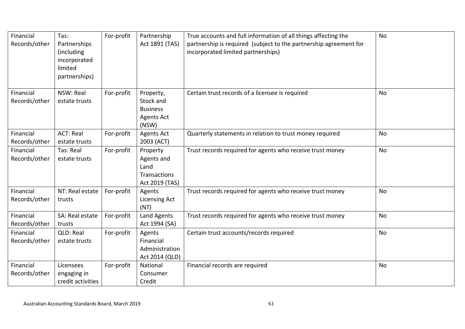| Financial<br>Records/other | Tas:<br>Partnerships<br>(including<br>incorporated<br>limited<br>partnerships) | For-profit | Partnership<br>Act 1891 (TAS)                                           | True accounts and full information of all things affecting the<br>partnership is required (subject to the partnership agreement for<br>incorporated limited partnerships) | No        |
|----------------------------|--------------------------------------------------------------------------------|------------|-------------------------------------------------------------------------|---------------------------------------------------------------------------------------------------------------------------------------------------------------------------|-----------|
| Financial<br>Records/other | NSW: Real<br>estate trusts                                                     | For-profit | Property,<br>Stock and<br><b>Business</b><br><b>Agents Act</b><br>(NSW) | Certain trust records of a licensee is required                                                                                                                           | <b>No</b> |
| Financial<br>Records/other | <b>ACT: Real</b><br>estate trusts                                              | For-profit | <b>Agents Act</b><br>2003 (ACT)                                         | Quarterly statements in relation to trust money required                                                                                                                  | <b>No</b> |
| Financial<br>Records/other | Tas: Real<br>estate trusts                                                     | For-profit | Property<br>Agents and<br>Land<br>Transactions<br>Act 2019 (TAS)        | Trust records required for agents who receive trust money                                                                                                                 | No        |
| Financial<br>Records/other | NT: Real estate<br>trusts                                                      | For-profit | Agents<br><b>Licensing Act</b><br>(NT)                                  | Trust records required for agents who receive trust money                                                                                                                 | No        |
| Financial<br>Records/other | SA: Real estate<br>trusts                                                      | For-profit | <b>Land Agents</b><br>Act 1994 (SA)                                     | Trust records required for agents who receive trust money                                                                                                                 | <b>No</b> |
| Financial<br>Records/other | QLD: Real<br>estate trusts                                                     | For-profit | Agents<br>Financial<br>Administration<br>Act 2014 (QLD)                 | Certain trust accounts/records required                                                                                                                                   | No        |
| Financial<br>Records/other | Licensees<br>engaging in<br>credit activities                                  | For-profit | National<br>Consumer<br>Credit                                          | Financial records are required                                                                                                                                            | <b>No</b> |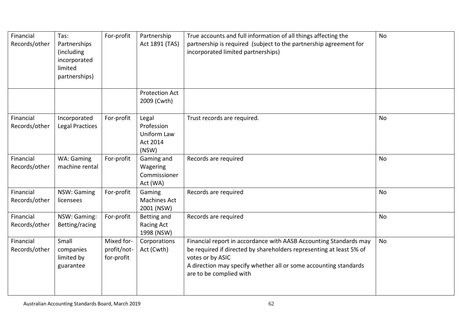| Financial<br>Records/other | Tas:<br>Partnerships<br>(including<br>incorporated<br>limited<br>partnerships) | For-profit                              | Partnership<br>Act 1891 (TAS)                                  | True accounts and full information of all things affecting the<br>partnership is required (subject to the partnership agreement for<br>incorporated limited partnerships)                                                                                   | <b>No</b> |
|----------------------------|--------------------------------------------------------------------------------|-----------------------------------------|----------------------------------------------------------------|-------------------------------------------------------------------------------------------------------------------------------------------------------------------------------------------------------------------------------------------------------------|-----------|
|                            |                                                                                |                                         | <b>Protection Act</b><br>2009 (Cwth)                           |                                                                                                                                                                                                                                                             |           |
| Financial<br>Records/other | Incorporated<br><b>Legal Practices</b>                                         | For-profit                              | Legal<br>Profession<br>Uniform Law<br><b>Act 2014</b><br>(NSW) | Trust records are required.                                                                                                                                                                                                                                 | <b>No</b> |
| Financial<br>Records/other | WA: Gaming<br>machine rental                                                   | For-profit                              | Gaming and<br>Wagering<br>Commissioner<br>Act (WA)             | Records are required                                                                                                                                                                                                                                        | <b>No</b> |
| Financial<br>Records/other | NSW: Gaming<br>licensees                                                       | For-profit                              | Gaming<br><b>Machines Act</b><br>2001 (NSW)                    | Records are required                                                                                                                                                                                                                                        | <b>No</b> |
| Financial<br>Records/other | NSW: Gaming:<br>Betting/racing                                                 | For-profit                              | Betting and<br>Racing Act<br>1998 (NSW)                        | Records are required                                                                                                                                                                                                                                        | No        |
| Financial<br>Records/other | Small<br>companies<br>limited by<br>guarantee                                  | Mixed for-<br>profit/not-<br>for-profit | Corporations<br>Act (Cwth)                                     | Financial report in accordance with AASB Accounting Standards may<br>be required if directed by shareholders representing at least 5% of<br>votes or by ASIC<br>A direction may specify whether all or some accounting standards<br>are to be complied with | No        |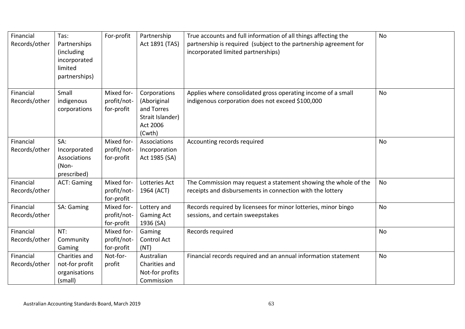| Financial<br>Records/other | Tas:<br>Partnerships<br>(including<br>incorporated<br>limited<br>partnerships) | For-profit                              | Partnership<br>Act 1891 (TAS)                                                       | True accounts and full information of all things affecting the<br>partnership is required (subject to the partnership agreement for<br>incorporated limited partnerships) | <b>No</b> |
|----------------------------|--------------------------------------------------------------------------------|-----------------------------------------|-------------------------------------------------------------------------------------|---------------------------------------------------------------------------------------------------------------------------------------------------------------------------|-----------|
| Financial<br>Records/other | Small<br>indigenous<br>corporations                                            | Mixed for-<br>profit/not-<br>for-profit | Corporations<br>(Aboriginal<br>and Torres<br>Strait Islander)<br>Act 2006<br>(Cwth) | Applies where consolidated gross operating income of a small<br>indigenous corporation does not exceed \$100,000                                                          | No        |
| Financial<br>Records/other | SA:<br>Incorporated<br>Associations<br>(Non-<br>prescribed)                    | Mixed for-<br>profit/not-<br>for-profit | Associations<br>Incorporation<br>Act 1985 (SA)                                      | Accounting records required                                                                                                                                               | <b>No</b> |
| Financial<br>Records/other | <b>ACT: Gaming</b>                                                             | Mixed for-<br>profit/not-<br>for-profit | Lotteries Act<br>1964 (ACT)                                                         | The Commission may request a statement showing the whole of the<br>receipts and disbursements in connection with the lottery                                              | <b>No</b> |
| Financial<br>Records/other | SA: Gaming                                                                     | Mixed for-<br>profit/not-<br>for-profit | Lottery and<br><b>Gaming Act</b><br>1936 (SA)                                       | Records required by licensees for minor lotteries, minor bingo<br>sessions, and certain sweepstakes                                                                       | No        |
| Financial<br>Records/other | NT:<br>Community<br>Gaming                                                     | Mixed for-<br>profit/not-<br>for-profit | Gaming<br>Control Act<br>(NT)                                                       | Records required                                                                                                                                                          | No        |
| Financial<br>Records/other | Charities and<br>not-for profit<br>organisations<br>(small)                    | Not-for-<br>profit                      | Australian<br>Charities and<br>Not-for profits<br>Commission                        | Financial records required and an annual information statement                                                                                                            | No        |